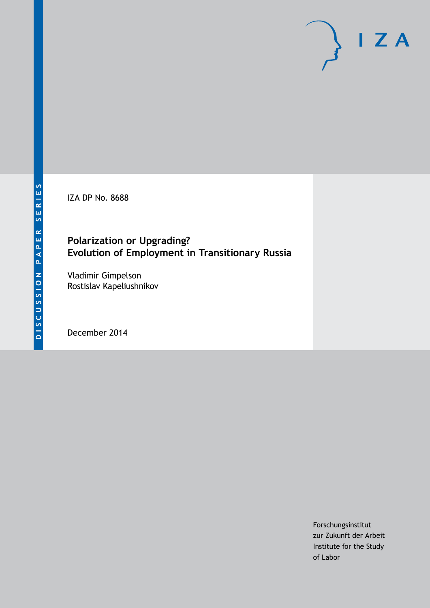IZA DP No. 8688

## **Polarization or Upgrading? Evolution of Employment in Transitionary Russia**

Vladimir Gimpelson Rostislav Kapeliushnikov

December 2014

Forschungsinstitut zur Zukunft der Arbeit Institute for the Study of Labor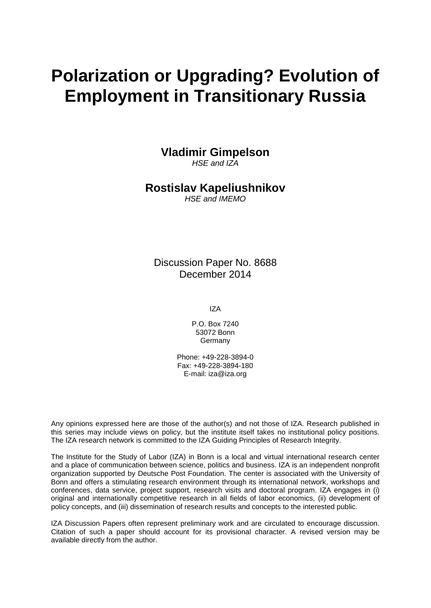# **Polarization or Upgrading? Evolution of Employment in Transitionary Russia**

**Vladimir Gimpelson**

*HSE and IZA*

## **Rostislav Kapeliushnikov**

*HSE and IMEMO*

Discussion Paper No. 8688 December 2014

IZA

P.O. Box 7240 53072 Bonn Germany

Phone: +49-228-3894-0 Fax: +49-228-3894-180 E-mail: [iza@iza.org](mailto:iza@iza.org)

Any opinions expressed here are those of the author(s) and not those of IZA. Research published in this series may include views on policy, but the institute itself takes no institutional policy positions. The IZA research network is committed to the IZA Guiding Principles of Research Integrity.

The Institute for the Study of Labor (IZA) in Bonn is a local and virtual international research center and a place of communication between science, politics and business. IZA is an independent nonprofit organization supported by Deutsche Post Foundation. The center is associated with the University of Bonn and offers a stimulating research environment through its international network, workshops and conferences, data service, project support, research visits and doctoral program. IZA engages in (i) original and internationally competitive research in all fields of labor economics, (ii) development of policy concepts, and (iii) dissemination of research results and concepts to the interested public.

IZA Discussion Papers often represent preliminary work and are circulated to encourage discussion. Citation of such a paper should account for its provisional character. A revised version may be available directly from the author.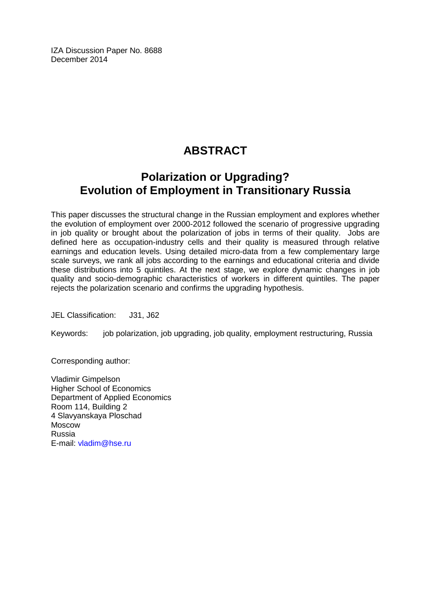IZA Discussion Paper No. 8688 December 2014

## **ABSTRACT**

## **Polarization or Upgrading? Evolution of Employment in Transitionary Russia**

This paper discusses the structural change in the Russian employment and explores whether the evolution of employment over 2000-2012 followed the scenario of progressive upgrading in job quality or brought about the polarization of jobs in terms of their quality. Jobs are defined here as occupation-industry cells and their quality is measured through relative earnings and education levels. Using detailed micro-data from a few complementary large scale surveys, we rank all jobs according to the earnings and educational criteria and divide these distributions into 5 quintiles. At the next stage, we explore dynamic changes in job quality and socio-demographic characteristics of workers in different quintiles. The paper rejects the polarization scenario and confirms the upgrading hypothesis.

JEL Classification: J31, J62

Keywords: job polarization, job upgrading, job quality, employment restructuring, Russia

Corresponding author:

Vladimir Gimpelson Higher School of Economics Department of Applied Economics Room 114, Building 2 4 Slavyanskaya Ploschad Moscow Russia E-mail: [vladim@hse.ru](mailto:vladim@hse.ru)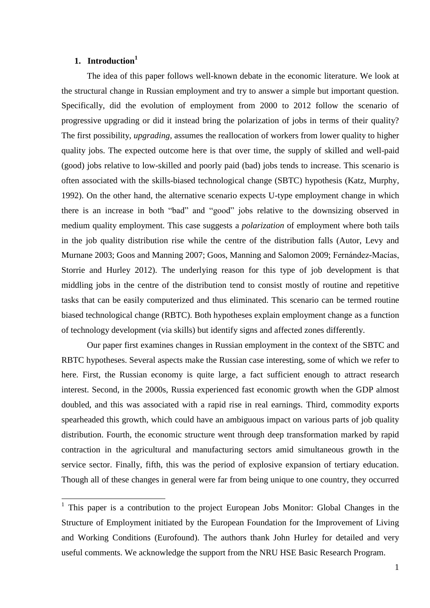## **1. Introduction<sup>1</sup>**

The idea of this paper follows well-known debate in the economic literature. We look at the structural change in Russian employment and try to answer a simple but important question. Specifically, did the evolution of employment from 2000 to 2012 follow the scenario of progressive upgrading or did it instead bring the polarization of jobs in terms of their quality? The first possibility, *upgrading,* assumes the reallocation of workers from lower quality to higher quality jobs. The expected outcome here is that over time, the supply of skilled and well-paid (good) jobs relative to low-skilled and poorly paid (bad) jobs tends to increase. This scenario is often associated with the skills-biased technological change (SBTC) hypothesis (Katz, Murphy, 1992). On the other hand, the alternative scenario expects U-type employment change in which there is an increase in both "bad" and "good" jobs relative to the downsizing observed in medium quality employment. This case suggests a *polarization* of employment where both tails in the job quality distribution rise while the centre of the distribution falls (Autor, Levy and Murnane 2003; Goos and Manning 2007; Goos, Manning and Salomon 2009; Fernández-Macías, Storrie and Hurley 2012). The underlying reason for this type of job development is that middling jobs in the centre of the distribution tend to consist mostly of routine and repetitive tasks that can be easily computerized and thus eliminated. This scenario can be termed routine biased technological change (RBTC). Both hypotheses explain employment change as a function of technology development (via skills) but identify signs and affected zones differently.

Our paper first examines changes in Russian employment in the context of the SBTC and RBTC hypotheses. Several aspects make the Russian case interesting, some of which we refer to here. First, the Russian economy is quite large, a fact sufficient enough to attract research interest. Second, in the 2000s, Russia experienced fast economic growth when the GDP almost doubled, and this was associated with a rapid rise in real earnings. Third, commodity exports spearheaded this growth, which could have an ambiguous impact on various parts of job quality distribution. Fourth, the economic structure went through deep transformation marked by rapid contraction in the agricultural and manufacturing sectors amid simultaneous growth in the service sector. Finally, fifth, this was the period of explosive expansion of tertiary education. Though all of these changes in general were far from being unique to one country, they occurred

<sup>&</sup>lt;sup>1</sup> This paper is a contribution to the project European Jobs Monitor: Global Changes in the Structure of Employment initiated by the European Foundation for the Improvement of Living and Working Conditions (Eurofound). The authors thank John Hurley for detailed and very useful comments. We acknowledge the support from the NRU HSE Basic Research Program.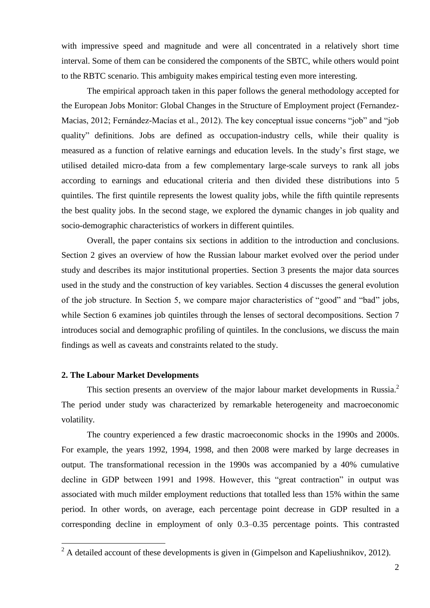with impressive speed and magnitude and were all concentrated in a relatively short time interval. Some of them can be considered the components of the SBTC, while others would point to the RBTC scenario. This ambiguity makes empirical testing even more interesting.

The empirical approach taken in this paper follows the general methodology accepted for the European Jobs Monitor: Global Changes in the Structure of Employment project (Fernandez-Macias, 2012; Fernández-Macías et al., 2012). The key conceptual issue concerns "job" and "job quality" definitions. Jobs are defined as occupation-industry cells, while their quality is measured as a function of relative earnings and education levels. In the study's first stage, we utilised detailed micro-data from a few complementary large-scale surveys to rank all jobs according to earnings and educational criteria and then divided these distributions into 5 quintiles. The first quintile represents the lowest quality jobs, while the fifth quintile represents the best quality jobs. In the second stage, we explored the dynamic changes in job quality and socio-demographic characteristics of workers in different quintiles.

Overall, the paper contains six sections in addition to the introduction and conclusions. Section 2 gives an overview of how the Russian labour market evolved over the period under study and describes its major institutional properties. Section 3 presents the major data sources used in the study and the construction of key variables. Section 4 discusses the general evolution of the job structure. In Section 5, we compare major characteristics of "good" and "bad" jobs, while Section 6 examines job quintiles through the lenses of sectoral decompositions. Section 7 introduces social and demographic profiling of quintiles. In the conclusions, we discuss the main findings as well as caveats and constraints related to the study.

#### **2. The Labour Market Developments**

<u>.</u>

This section presents an overview of the major labour market developments in Russia.<sup>2</sup> The period under study was characterized by remarkable heterogeneity and macroeconomic volatility.

The country experienced a few drastic macroeconomic shocks in the 1990s and 2000s. For example, the years 1992, 1994, 1998, and then 2008 were marked by large decreases in output. The transformational recession in the 1990s was accompanied by a 40% cumulative decline in GDP between 1991 and 1998. However, this "great contraction" in output was associated with much milder employment reductions that totalled less than 15% within the same period. In other words, on average, each percentage point decrease in GDP resulted in a corresponding decline in employment of only 0.3–0.35 percentage points. This contrasted

 $2^{2}$  A detailed account of these developments is given in (Gimpelson and Kapeliushnikov, 2012).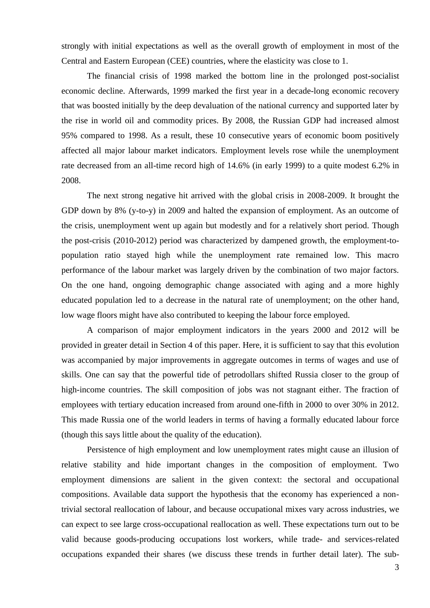strongly with initial expectations as well as the overall growth of employment in most of the Central and Eastern European (CEE) countries, where the elasticity was close to 1.

The financial crisis of 1998 marked the bottom line in the prolonged post-socialist economic decline. Afterwards, 1999 marked the first year in a decade-long economic recovery that was boosted initially by the deep devaluation of the national currency and supported later by the rise in world oil and commodity prices. By 2008, the Russian GDP had increased almost 95% compared to 1998. As a result, these 10 consecutive years of economic boom positively affected all major labour market indicators. Employment levels rose while the unemployment rate decreased from an all-time record high of 14.6% (in early 1999) to a quite modest 6.2% in 2008.

The next strong negative hit arrived with the global crisis in 2008-2009. It brought the GDP down by 8% (y-to-y) in 2009 and halted the expansion of employment. As an outcome of the crisis, unemployment went up again but modestly and for a relatively short period. Though the post-crisis (2010-2012) period was characterized by dampened growth, the employment-topopulation ratio stayed high while the unemployment rate remained low. This macro performance of the labour market was largely driven by the combination of two major factors. On the one hand, ongoing demographic change associated with aging and a more highly educated population led to a decrease in the natural rate of unemployment; on the other hand, low wage floors might have also contributed to keeping the labour force employed.

A comparison of major employment indicators in the years 2000 and 2012 will be provided in greater detail in Section 4 of this paper. Here, it is sufficient to say that this evolution was accompanied by major improvements in aggregate outcomes in terms of wages and use of skills. One can say that the powerful tide of petrodollars shifted Russia closer to the group of high-income countries. The skill composition of jobs was not stagnant either. The fraction of employees with tertiary education increased from around one-fifth in 2000 to over 30% in 2012. This made Russia one of the world leaders in terms of having a formally educated labour force (though this says little about the quality of the education).

Persistence of high employment and low unemployment rates might cause an illusion of relative stability and hide important changes in the composition of employment. Two employment dimensions are salient in the given context: the sectoral and occupational compositions. Available data support the hypothesis that the economy has experienced a nontrivial sectoral reallocation of labour, and because occupational mixes vary across industries, we can expect to see large cross-occupational reallocation as well. These expectations turn out to be valid because goods-producing occupations lost workers, while trade- and services-related occupations expanded their shares (we discuss these trends in further detail later). The sub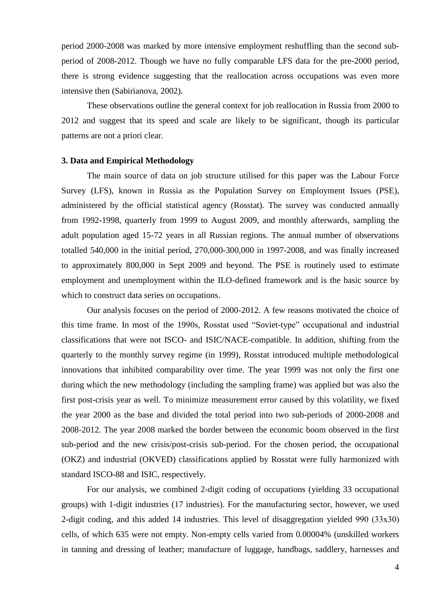period 2000-2008 was marked by more intensive employment reshuffling than the second subperiod of 2008-2012. Though we have no fully comparable LFS data for the pre-2000 period, there is strong evidence suggesting that the reallocation across occupations was even more intensive then (Sabirianova, 2002).

These observations outline the general context for job reallocation in Russia from 2000 to 2012 and suggest that its speed and scale are likely to be significant, though its particular patterns are not a priori clear.

#### **3. Data and Empirical Methodology**

The main source of data on job structure utilised for this paper was the Labour Force Survey (LFS), known in Russia as the Population Survey on Employment Issues (PSE), administered by the official statistical agency (Rosstat). The survey was conducted annually from 1992-1998, quarterly from 1999 to August 2009, and monthly afterwards, sampling the adult population aged 15-72 years in all Russian regions. The annual number of observations totalled 540,000 in the initial period, 270,000-300,000 in 1997-2008, and was finally increased to approximately 800,000 in Sept 2009 and beyond. The PSE is routinely used to estimate employment and unemployment within the ILO-defined framework and is the basic source by which to construct data series on occupations.

Our analysis focuses on the period of 2000-2012. A few reasons motivated the choice of this time frame. In most of the 1990s, Rosstat used "Soviet-type" occupational and industrial classifications that were not ISCO- and ISIC/NACE-compatible. In addition, shifting from the quarterly to the monthly survey regime (in 1999), Rosstat introduced multiple methodological innovations that inhibited comparability over time. The year 1999 was not only the first one during which the new methodology (including the sampling frame) was applied but was also the first post-crisis year as well. To minimize measurement error caused by this volatility, we fixed the year 2000 as the base and divided the total period into two sub-periods of 2000-2008 and 2008-2012. The year 2008 marked the border between the economic boom observed in the first sub-period and the new crisis/post-crisis sub-period. For the chosen period, the occupational (OKZ) and industrial (OKVED) classifications applied by Rosstat were fully harmonized with standard ISCO-88 and ISIC, respectively.

For our analysis, we combined 2-digit coding of occupations (yielding 33 occupational groups) with 1-digit industries (17 industries). For the manufacturing sector, however, we used 2-digit coding, and this added 14 industries. This level of disaggregation yielded 990 (33х30) cells, of which 635 were not empty. Non-empty cells varied from 0.00004% (unskilled workers in tanning and dressing of leather; manufacture of luggage, handbags, saddlery, harnesses and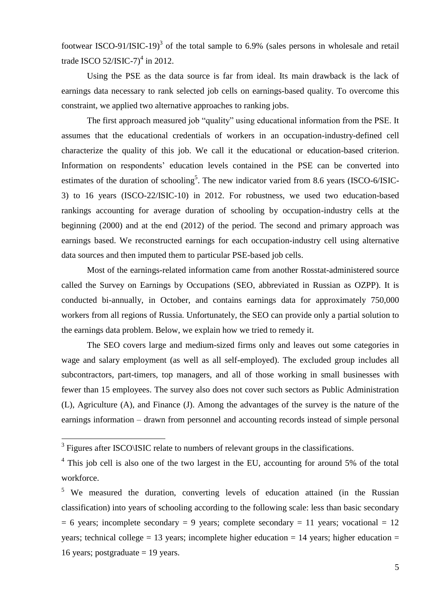footwear ISCO-91/ISIC-19 $3$  of the total sample to 6.9% (sales persons in wholesale and retail trade ISCO  $52/$ ISIC-7 $)^4$  in 2012.

Using the PSE as the data source is far from ideal. Its main drawback is the lack of earnings data necessary to rank selected job cells on earnings-based quality. To overcome this constraint, we applied two alternative approaches to ranking jobs.

The first approach measured job "quality" using educational information from the PSE. It assumes that the educational credentials of workers in an occupation-industry-defined cell characterize the quality of this job. We call it the educational or education-based criterion. Information on respondents' education levels contained in the PSE can be converted into estimates of the duration of schooling<sup>5</sup>. The new indicator varied from 8.6 years (ISCO-6/ISIC-3) to 16 years (ISCO-22/ISIC-10) in 2012. For robustness, we used two education-based rankings accounting for average duration of schooling by occupation-industry cells at the beginning (2000) and at the end (2012) of the period. The second and primary approach was earnings based. We reconstructed earnings for each occupation-industry cell using alternative data sources and then imputed them to particular PSE-based job cells.

Most of the earnings-related information came from another Rosstat-administered source called the Survey on Earnings by Occupations (SEO, abbreviated in Russian as OZPP). It is conducted bi-annually, in October, and contains earnings data for approximately 750,000 workers from all regions of Russia. Unfortunately, the SEO can provide only a partial solution to the earnings data problem. Below, we explain how we tried to remedy it.

The SEO covers large and medium-sized firms only and leaves out some categories in wage and salary employment (as well as all self-employed). The excluded group includes all subcontractors, part-timers, top managers, and all of those working in small businesses with fewer than 15 employees. The survey also does not cover such sectors as Public Administration (L), Agriculture (A), and Finance (J). Among the advantages of the survey is the nature of the earnings information – drawn from personnel and accounting records instead of simple personal

1

<sup>&</sup>lt;sup>3</sup> Figures after ISCO\ISIC relate to numbers of relevant groups in the classifications.

 $4$  This job cell is also one of the two largest in the EU, accounting for around 5% of the total workforce.

<sup>&</sup>lt;sup>5</sup> We measured the duration, converting levels of education attained (in the Russian classification) into years of schooling according to the following scale: less than basic secondary  $= 6$  years; incomplete secondary  $= 9$  years; complete secondary  $= 11$  years; vocational  $= 12$ years; technical college = 13 years; incomplete higher education = 14 years; higher education = 16 years; postgraduate  $= 19$  years.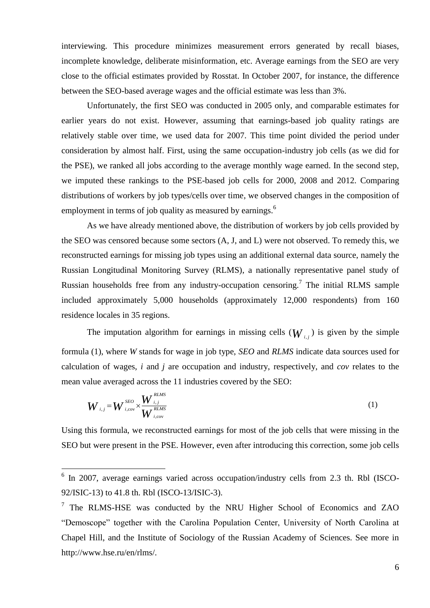interviewing. This procedure minimizes measurement errors generated by recall biases, incomplete knowledge, deliberate misinformation, etc. Average earnings from the SEO are very close to the official estimates provided by Rosstat. In October 2007, for instance, the difference between the SEO-based average wages and the official estimate was less than 3%.

Unfortunately, the first SEO was conducted in 2005 only, and comparable estimates for earlier years do not exist. However, assuming that earnings-based job quality ratings are relatively stable over time, we used data for 2007. This time point divided the period under consideration by almost half. First, using the same occupation-industry job cells (as we did for the PSE), we ranked all jobs according to the average monthly wage earned. In the second step, we imputed these rankings to the PSE-based job cells for 2000, 2008 and 2012. Comparing distributions of workers by job types/cells over time, we observed changes in the composition of employment in terms of job quality as measured by earnings.<sup>6</sup>

As we have already mentioned above, the distribution of workers by job cells provided by the SEO was censored because some sectors (A, J, and L) were not observed. To remedy this, we reconstructed earnings for missing job types using an additional external data source, namely the Russian Longitudinal Monitoring Survey (RLMS), a nationally representative panel study of Russian households free from any industry-occupation censoring.<sup>7</sup> The initial RLMS sample included approximately 5,000 households (approximately 12,000 respondents) from 160 residence locales in 35 regions.

The imputation algorithm for earnings in missing cells  $(W_{i,j})$  is given by the simple formula (1), where *W* stands for wage in job type, *SEO* and *RLMS* indicate data sources used for calculation of wages, *i* and *j* are occupation and industry, respectively, and *cov* relates to the mean value averaged across the 11 industries covered by the SEO:

tion of wages, *t* and *f* are occupation and industry, respectively, and *cov* relates

\nvalue averaged across the 11 industries covered by the SEO:

\n
$$
W_{i,j} = W_{i,cov}^{SEO} \times \frac{W_{i,j}^{RMS}}{W_{i,cov}^{RMS}}
$$
\n(1)

Using this formula, we reconstructed earnings for most of the job cells that were missing in the SEO but were present in the PSE. However, even after introducing this correction, some job cells

<u>.</u>

<sup>&</sup>lt;sup>6</sup> In 2007, average earnings varied across occupation/industry cells from 2.3 th. Rbl (ISCO-92/ISIC-13) to 41.8 th. Rbl (ISCO-13/ISIC-3).

 $7$  The RLMS-HSE was conducted by the NRU Higher School of Economics and ZAO "Demoscope" together with the Carolina Population Center, University of North Carolina at Chapel Hill, and the Institute of Sociology of the Russian Academy of Sciences. See more in http://www.hse.ru/en/rlms/.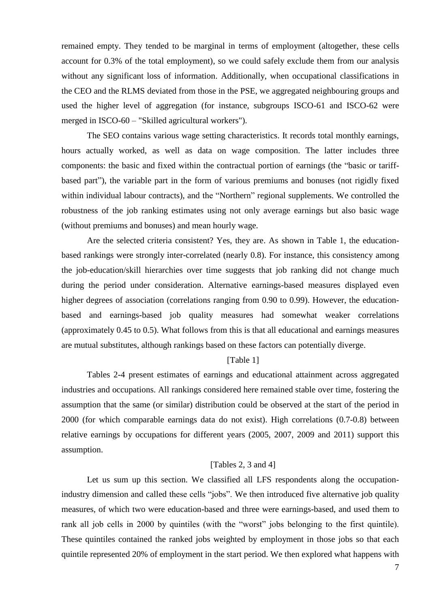remained empty. They tended to be marginal in terms of employment (altogether, these cells account for 0.3% of the total employment), so we could safely exclude them from our analysis without any significant loss of information. Additionally, when occupational classifications in the CEO and the RLMS deviated from those in the PSE, we aggregated neighbouring groups and used the higher level of aggregation (for instance, subgroups ISCO-61 and ISCO-62 were merged in ISCO-60 – "Skilled agricultural workers").

The SEO contains various wage setting characteristics. It records total monthly earnings, hours actually worked, as well as data on wage composition. The latter includes three components: the basic and fixed within the contractual portion of earnings (the "basic or tariffbased part"), the variable part in the form of various premiums and bonuses (not rigidly fixed within individual labour contracts), and the "Northern" regional supplements. We controlled the robustness of the job ranking estimates using not only average earnings but also basic wage (without premiums and bonuses) and mean hourly wage.

Are the selected criteria consistent? Yes, they are. As shown in Table 1, the educationbased rankings were strongly inter-correlated (nearly 0.8). For instance, this consistency among the job-education/skill hierarchies over time suggests that job ranking did not change much during the period under consideration. Alternative earnings-based measures displayed even higher degrees of association (correlations ranging from 0.90 to 0.99). However, the educationbased and earnings-based job quality measures had somewhat weaker correlations (approximately 0.45 to 0.5). What follows from this is that all educational and earnings measures are mutual substitutes, although rankings based on these factors can potentially diverge.

## [Table 1]

Tables 2-4 present estimates of earnings and educational attainment across aggregated industries and occupations. All rankings considered here remained stable over time, fostering the assumption that the same (or similar) distribution could be observed at the start of the period in 2000 (for which comparable earnings data do not exist). High correlations (0.7-0.8) between relative earnings by occupations for different years (2005, 2007, 2009 and 2011) support this assumption.

#### [Tables 2, 3 and 4]

Let us sum up this section. We classified all LFS respondents along the occupationindustry dimension and called these cells "jobs". We then introduced five alternative job quality measures, of which two were education-based and three were earnings-based, and used them to rank all job cells in 2000 by quintiles (with the "worst" jobs belonging to the first quintile). These quintiles contained the ranked jobs weighted by employment in those jobs so that each quintile represented 20% of employment in the start period. We then explored what happens with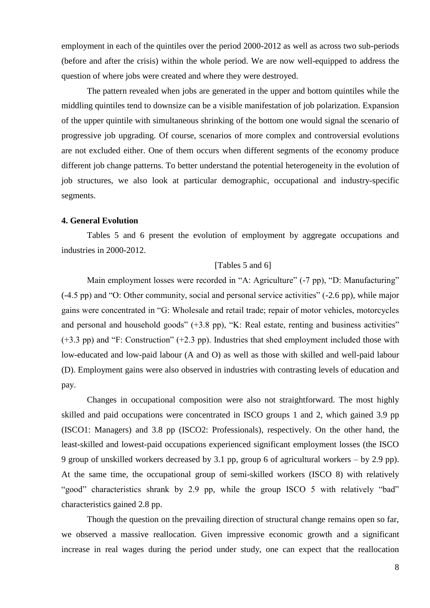employment in each of the quintiles over the period 2000-2012 as well as across two sub-periods (before and after the crisis) within the whole period. We are now well-equipped to address the question of where jobs were created and where they were destroyed.

The pattern revealed when jobs are generated in the upper and bottom quintiles while the middling quintiles tend to downsize can be a visible manifestation of job polarization. Expansion of the upper quintile with simultaneous shrinking of the bottom one would signal the scenario of progressive job upgrading. Of course, scenarios of more complex and controversial evolutions are not excluded either. One of them occurs when different segments of the economy produce different job change patterns. To better understand the potential heterogeneity in the evolution of job structures, we also look at particular demographic, occupational and industry-specific segments.

#### **4. General Evolution**

Tables 5 and 6 present the evolution of employment by aggregate occupations and industries in 2000-2012.

## [Tables 5 and 6]

Main employment losses were recorded in "A: Agriculture" (-7 pp), "D: Manufacturing" (-4.5 pp) and "O: Other community, social and personal service activities" (-2.6 pp), while major gains were concentrated in "G: Wholesale and retail trade; repair of motor vehicles, motorcycles and personal and household goods" (+3.8 pp), "K: Real estate, renting and business activities" (+3.3 pp) and "F: Construction" (+2.3 pp). Industries that shed employment included those with low-educated and low-paid labour (A and O) as well as those with skilled and well-paid labour (D). Employment gains were also observed in industries with contrasting levels of education and pay.

Changes in occupational composition were also not straightforward. The most highly skilled and paid occupations were concentrated in ISCO groups 1 and 2, which gained 3.9 pp (ISCO1: Managers) and 3.8 pp (ISCO2: Professionals), respectively. On the other hand, the least-skilled and lowest-paid occupations experienced significant employment losses (the ISCO 9 group of unskilled workers decreased by 3.1 pp, group 6 of agricultural workers – by 2.9 pp). At the same time, the occupational group of semi-skilled workers (ISCO 8) with relatively "good" characteristics shrank by 2.9 pp, while the group ISCO 5 with relatively "bad" characteristics gained 2.8 pp.

Though the question on the prevailing direction of structural change remains open so far, we observed a massive reallocation. Given impressive economic growth and a significant increase in real wages during the period under study, one can expect that the reallocation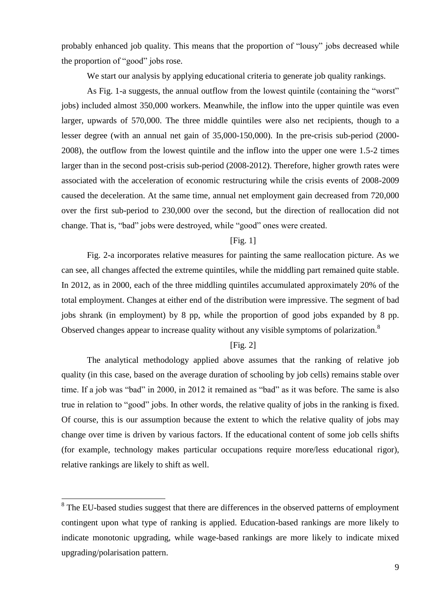probably enhanced job quality. This means that the proportion of "lousy" jobs decreased while the proportion of "good" jobs rose.

We start our analysis by applying educational criteria to generate job quality rankings.

As Fig. 1-a suggests, the annual outflow from the lowest quintile (containing the "worst" jobs) included almost 350,000 workers. Meanwhile, the inflow into the upper quintile was even larger, upwards of 570,000. The three middle quintiles were also net recipients, though to a lesser degree (with an annual net gain of 35,000-150,000). In the pre-crisis sub-period (2000- 2008), the outflow from the lowest quintile and the inflow into the upper one were 1.5-2 times larger than in the second post-crisis sub-period (2008-2012). Therefore, higher growth rates were associated with the acceleration of economic restructuring while the crisis events of 2008-2009 caused the deceleration. At the same time, annual net employment gain decreased from 720,000 over the first sub-period to 230,000 over the second, but the direction of reallocation did not change. That is, "bad" jobs were destroyed, while "good" ones were created.

## [Fig. 1]

Fig. 2-a incorporates relative measures for painting the same reallocation picture. As we can see, all changes affected the extreme quintiles, while the middling part remained quite stable. In 2012, as in 2000, each of the three middling quintiles accumulated approximately 20% of the total employment. Changes at either end of the distribution were impressive. The segment of bad jobs shrank (in employment) by 8 pp, while the proportion of good jobs expanded by 8 pp. Observed changes appear to increase quality without any visible symptoms of polarization.<sup>8</sup>

## [Fig. 2]

The analytical methodology applied above assumes that the ranking of relative job quality (in this case, based on the average duration of schooling by job cells) remains stable over time. If a job was "bad" in 2000, in 2012 it remained as "bad" as it was before. The same is also true in relation to "good" jobs. In other words, the relative quality of jobs in the ranking is fixed. Of course, this is our assumption because the extent to which the relative quality of jobs may change over time is driven by various factors. If the educational content of some job cells shifts (for example, technology makes particular occupations require more/less educational rigor), relative rankings are likely to shift as well.

<sup>&</sup>lt;sup>8</sup>The EU-based studies suggest that there are differences in the observed patterns of employment contingent upon what type of ranking is applied. Education-based rankings are more likely to indicate monotonic upgrading, while wage-based rankings are more likely to indicate mixed upgrading/polarisation pattern.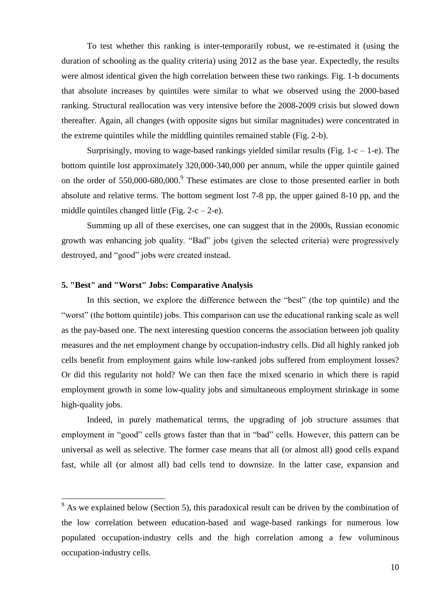To test whether this ranking is inter-temporarily robust, we re-estimated it (using the duration of schooling as the quality criteria) using 2012 as the base year. Expectedly, the results were almost identical given the high correlation between these two rankings. Fig. 1-b documents that absolute increases by quintiles were similar to what we observed using the 2000-based ranking. Structural reallocation was very intensive before the 2008-2009 crisis but slowed down thereafter. Again, all changes (with opposite signs but similar magnitudes) were concentrated in the extreme quintiles while the middling quintiles remained stable (Fig. 2-b).

Surprisingly, moving to wage-based rankings yielded similar results (Fig.  $1-c - 1-e$ ). The bottom quintile lost approximately 320,000-340,000 per annum, while the upper quintile gained on the order of 550,000-680,000.<sup>9</sup> These estimates are close to those presented earlier in both absolute and relative terms. The bottom segment lost 7-8 pp, the upper gained 8-10 pp, and the middle quintiles changed little (Fig.  $2-c-2-e$ ).

Summing up all of these exercises, one can suggest that in the 2000s, Russian economic growth was enhancing job quality. "Bad" jobs (given the selected criteria) were progressively destroyed, and "good" jobs were created instead.

## **5. "Best" and "Worst" Jobs: Comparative Analysis**

1

In this section, we explore the difference between the "best" (the top quintile) and the "worst" (the bottom quintile) jobs. This comparison can use the educational ranking scale as well as the pay-based one. The next interesting question concerns the association between job quality measures and the net employment change by occupation-industry cells. Did all highly ranked job cells benefit from employment gains while low-ranked jobs suffered from employment losses? Or did this regularity not hold? We can then face the mixed scenario in which there is rapid employment growth in some low-quality jobs and simultaneous employment shrinkage in some high-quality jobs.

Indeed, in purely mathematical terms, the upgrading of job structure assumes that employment in "good" cells grows faster than that in "bad" cells. However, this pattern can be universal as well as selective. The former case means that all (or almost all) good cells expand fast, while all (or almost all) bad cells tend to downsize. In the latter case, expansion and

 $9<sup>9</sup>$  As we explained below (Section 5), this paradoxical result can be driven by the combination of the low correlation between education-based and wage-based rankings for numerous low populated occupation-industry cells and the high correlation among a few voluminous occupation-industry cells.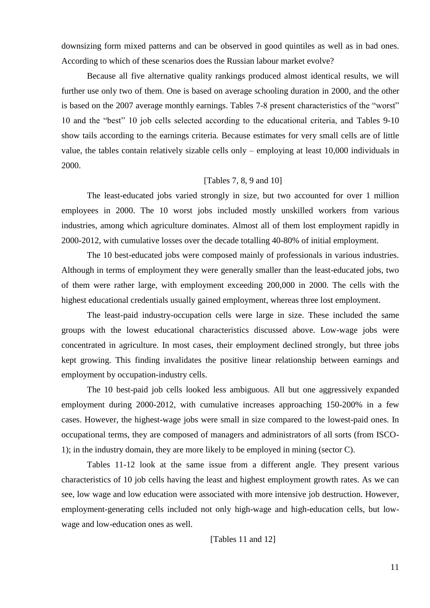downsizing form mixed patterns and can be observed in good quintiles as well as in bad ones. According to which of these scenarios does the Russian labour market evolve?

Because all five alternative quality rankings produced almost identical results, we will further use only two of them. One is based on average schooling duration in 2000, and the other is based on the 2007 average monthly earnings. Tables 7-8 present characteristics of the "worst" 10 and the "best" 10 job cells selected according to the educational criteria, and Tables 9-10 show tails according to the earnings criteria. Because estimates for very small cells are of little value, the tables contain relatively sizable cells only – employing at least 10,000 individuals in 2000.

## [Tables 7, 8, 9 and 10]

The least-educated jobs varied strongly in size, but two accounted for over 1 million employees in 2000. The 10 worst jobs included mostly unskilled workers from various industries, among which agriculture dominates. Almost all of them lost employment rapidly in 2000-2012, with cumulative losses over the decade totalling 40-80% of initial employment.

The 10 best-educated jobs were composed mainly of professionals in various industries. Although in terms of employment they were generally smaller than the least-educated jobs, two of them were rather large, with employment exceeding 200,000 in 2000. The cells with the highest educational credentials usually gained employment, whereas three lost employment.

The least-paid industry-occupation cells were large in size. These included the same groups with the lowest educational characteristics discussed above. Low-wage jobs were concentrated in agriculture. In most cases, their employment declined strongly, but three jobs kept growing. This finding invalidates the positive linear relationship between earnings and employment by occupation-industry cells.

The 10 best-paid job cells looked less ambiguous. All but one aggressively expanded employment during 2000-2012, with cumulative increases approaching 150-200% in a few cases. However, the highest-wage jobs were small in size compared to the lowest-paid ones. In occupational terms, they are composed of managers and administrators of all sorts (from ISCO-1); in the industry domain, they are more likely to be employed in mining (sector C).

Tables 11-12 look at the same issue from a different angle. They present various characteristics of 10 job cells having the least and highest employment growth rates. As we can see, low wage and low education were associated with more intensive job destruction. However, employment-generating cells included not only high-wage and high-education cells, but lowwage and low-education ones as well.

[Tables 11 and 12]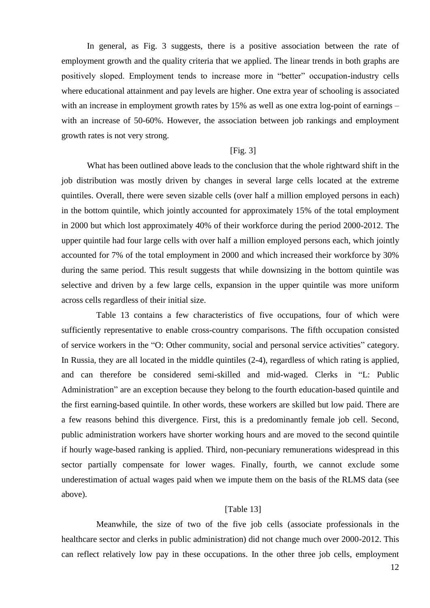In general, as Fig. 3 suggests, there is a positive association between the rate of employment growth and the quality criteria that we applied. The linear trends in both graphs are positively sloped. Employment tends to increase more in "better" occupation-industry cells where educational attainment and pay levels are higher. One extra year of schooling is associated with an increase in employment growth rates by 15% as well as one extra log-point of earnings – with an increase of 50-60%. However, the association between job rankings and employment growth rates is not very strong.

#### [Fig. 3]

What has been outlined above leads to the conclusion that the whole rightward shift in the job distribution was mostly driven by changes in several large cells located at the extreme quintiles. Overall, there were seven sizable cells (over half a million employed persons in each) in the bottom quintile, which jointly accounted for approximately 15% of the total employment in 2000 but which lost approximately 40% of their workforce during the period 2000-2012. The upper quintile had four large cells with over half a million employed persons each, which jointly accounted for 7% of the total employment in 2000 and which increased their workforce by 30% during the same period. This result suggests that while downsizing in the bottom quintile was selective and driven by a few large cells, expansion in the upper quintile was more uniform across cells regardless of their initial size.

Table 13 contains a few characteristics of five occupations, four of which were sufficiently representative to enable cross-country comparisons. The fifth occupation consisted of service workers in the "O: Other community, social and personal service activities" category. In Russia, they are all located in the middle quintiles (2-4), regardless of which rating is applied, and can therefore be considered semi-skilled and mid-waged. Clerks in "L: Public Administration" are an exception because they belong to the fourth education-based quintile and the first earning-based quintile. In other words, these workers are skilled but low paid. There are a few reasons behind this divergence. First, this is a predominantly female job cell. Second, public administration workers have shorter working hours and are moved to the second quintile if hourly wage-based ranking is applied. Third, non-pecuniary remunerations widespread in this sector partially compensate for lower wages. Finally, fourth, we cannot exclude some underestimation of actual wages paid when we impute them on the basis of the RLMS data (see above).

## [Table 13]

Meanwhile, the size of two of the five job cells (associate professionals in the healthcare sector and clerks in public administration) did not change much over 2000-2012. This can reflect relatively low pay in these occupations. In the other three job cells, employment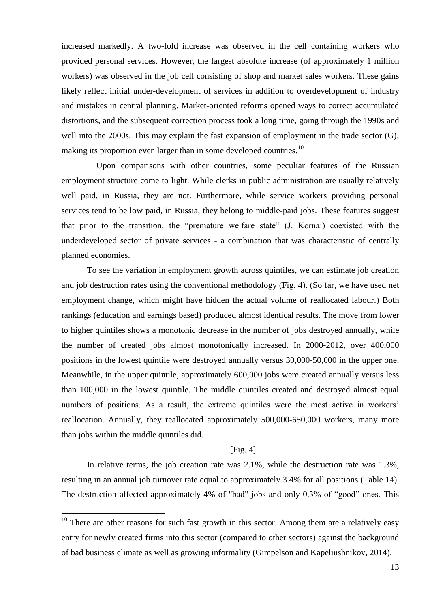increased markedly. A two-fold increase was observed in the cell containing workers who provided personal services. However, the largest absolute increase (of approximately 1 million workers) was observed in the job cell consisting of shop and market sales workers. These gains likely reflect initial under-development of services in addition to overdevelopment of industry and mistakes in central planning. Market-oriented reforms opened ways to correct accumulated distortions, and the subsequent correction process took a long time, going through the 1990s and well into the 2000s. This may explain the fast expansion of employment in the trade sector (G), making its proportion even larger than in some developed countries.<sup>10</sup>

Upon comparisons with other countries, some peculiar features of the Russian employment structure come to light. While clerks in public administration are usually relatively well paid, in Russia, they are not. Furthermore, while service workers providing personal services tend to be low paid, in Russia, they belong to middle-paid jobs. These features suggest that prior to the transition, the "premature welfare state" (J. Kornai) coexisted with the underdeveloped sector of private services - a combination that was characteristic of centrally planned economies.

To see the variation in employment growth across quintiles, we can estimate job creation and job destruction rates using the conventional methodology (Fig. 4). (So far, we have used net employment change, which might have hidden the actual volume of reallocated labour.) Both rankings (education and earnings based) produced almost identical results. The move from lower to higher quintiles shows a monotonic decrease in the number of jobs destroyed annually, while the number of created jobs almost monotonically increased. In 2000-2012, over 400,000 positions in the lowest quintile were destroyed annually versus 30,000-50,000 in the upper one. Meanwhile, in the upper quintile, approximately 600,000 jobs were created annually versus less than 100,000 in the lowest quintile. The middle quintiles created and destroyed almost equal numbers of positions. As a result, the extreme quintiles were the most active in workers' reallocation. Annually, they reallocated approximately 500,000-650,000 workers, many more than jobs within the middle quintiles did.

### [Fig. 4]

In relative terms, the job creation rate was 2.1%, while the destruction rate was 1.3%, resulting in an annual job turnover rate equal to approximately 3.4% for all positions (Table 14). The destruction affected approximately 4% of "bad" jobs and only 0.3% of "good" ones. This

1

 $10$  There are other reasons for such fast growth in this sector. Among them are a relatively easy entry for newly created firms into this sector (compared to other sectors) against the background of bad business climate as well as growing informality (Gimpelson and Kapeliushnikov, 2014).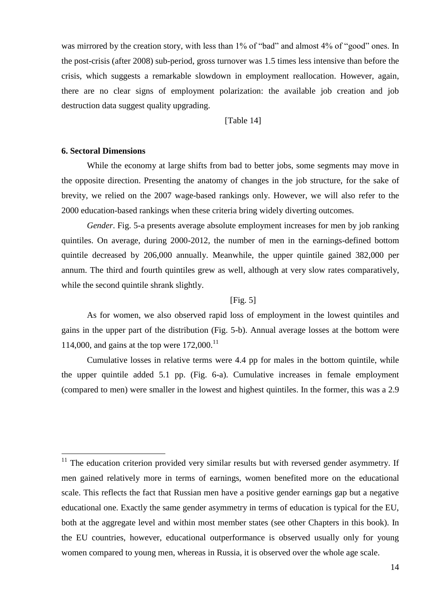was mirrored by the creation story, with less than 1% of "bad" and almost 4% of "good" ones. In the post-crisis (after 2008) sub-period, gross turnover was 1.5 times less intensive than before the crisis, which suggests a remarkable slowdown in employment reallocation. However, again, there are no clear signs of employment polarization: the available job creation and job destruction data suggest quality upgrading.

[Table 14]

### **6. Sectoral Dimensions**

1

While the economy at large shifts from bad to better jobs, some segments may move in the opposite direction. Presenting the anatomy of changes in the job structure, for the sake of brevity, we relied on the 2007 wage-based rankings only. However, we will also refer to the 2000 education-based rankings when these criteria bring widely diverting outcomes.

*Gender*. Fig. 5-a presents average absolute employment increases for men by job ranking quintiles. On average, during 2000-2012, the number of men in the earnings-defined bottom quintile decreased by 206,000 annually. Meanwhile, the upper quintile gained 382,000 per annum. The third and fourth quintiles grew as well, although at very slow rates comparatively, while the second quintile shrank slightly.

## $[Fig. 5]$

As for women, we also observed rapid loss of employment in the lowest quintiles and gains in the upper part of the distribution (Fig. 5-b). Annual average losses at the bottom were 114,000, and gains at the top were  $172,000$ .<sup>11</sup>

Cumulative losses in relative terms were 4.4 pp for males in the bottom quintile, while the upper quintile added 5.1 pp. (Fig. 6-a). Cumulative increases in female employment (compared to men) were smaller in the lowest and highest quintiles. In the former, this was a 2.9

 $11$  The education criterion provided very similar results but with reversed gender asymmetry. If men gained relatively more in terms of earnings, women benefited more on the educational scale. This reflects the fact that Russian men have a positive gender earnings gap but a negative educational one. Exactly the same gender asymmetry in terms of education is typical for the EU, both at the aggregate level and within most member states (see other Chapters in this book). In the EU countries, however, educational outperformance is observed usually only for young women compared to young men, whereas in Russia, it is observed over the whole age scale.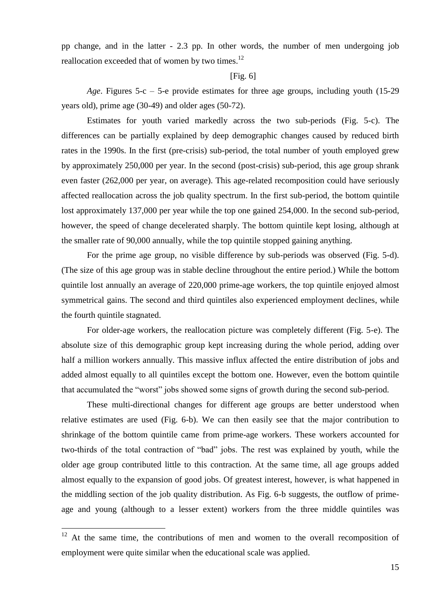pp change, and in the latter - 2.3 pp. In other words, the number of men undergoing job reallocation exceeded that of women by two times.<sup>12</sup>

#### $[Fig. 6]$

*Age*. Figures 5-c – 5-e provide estimates for three age groups, including youth (15-29 years old), prime age (30-49) and older ages (50-72).

Estimates for youth varied markedly across the two sub-periods (Fig. 5-c). The differences can be partially explained by deep demographic changes caused by reduced birth rates in the 1990s. In the first (pre-crisis) sub-period, the total number of youth employed grew by approximately 250,000 per year. In the second (post-crisis) sub-period, this age group shrank even faster (262,000 per year, on average). This age-related recomposition could have seriously affected reallocation across the job quality spectrum. In the first sub-period, the bottom quintile lost approximately 137,000 per year while the top one gained 254,000. In the second sub-period, however, the speed of change decelerated sharply. The bottom quintile kept losing, although at the smaller rate of 90,000 annually, while the top quintile stopped gaining anything.

For the prime age group, no visible difference by sub-periods was observed (Fig. 5-d). (The size of this age group was in stable decline throughout the entire period.) While the bottom quintile lost annually an average of 220,000 prime-age workers, the top quintile enjoyed almost symmetrical gains. The second and third quintiles also experienced employment declines, while the fourth quintile stagnated.

For older-age workers, the reallocation picture was completely different (Fig. 5-e). The absolute size of this demographic group kept increasing during the whole period, adding over half a million workers annually. This massive influx affected the entire distribution of jobs and added almost equally to all quintiles except the bottom one. However, even the bottom quintile that accumulated the "worst" jobs showed some signs of growth during the second sub-period.

These multi-directional changes for different age groups are better understood when relative estimates are used (Fig. 6-b). We can then easily see that the major contribution to shrinkage of the bottom quintile came from prime-age workers. These workers accounted for two-thirds of the total contraction of "bad" jobs. The rest was explained by youth, while the older age group contributed little to this contraction. At the same time, all age groups added almost equally to the expansion of good jobs. Of greatest interest, however, is what happened in the middling section of the job quality distribution. As Fig. 6-b suggests, the outflow of primeage and young (although to a lesser extent) workers from the three middle quintiles was

1

 $12$  At the same time, the contributions of men and women to the overall recomposition of employment were quite similar when the educational scale was applied.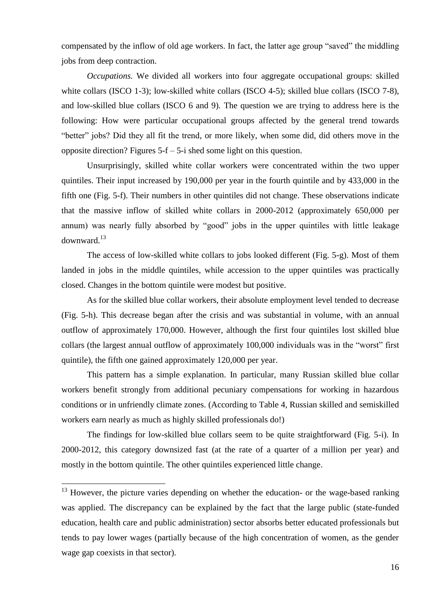compensated by the inflow of old age workers. In fact, the latter age group "saved" the middling jobs from deep contraction.

*Occupations.* We divided all workers into four aggregate occupational groups: skilled white collars (ISCO 1-3); low-skilled white collars (ISCO 4-5); skilled blue collars (ISCO 7-8), and low-skilled blue collars (ISCO 6 and 9). The question we are trying to address here is the following: How were particular occupational groups affected by the general trend towards "better" jobs? Did they all fit the trend, or more likely, when some did, did others move in the opposite direction? Figures 5-f – 5-i shed some light on this question.

Unsurprisingly, skilled white collar workers were concentrated within the two upper quintiles. Their input increased by 190,000 per year in the fourth quintile and by 433,000 in the fifth one (Fig. 5-f). Their numbers in other quintiles did not change. These observations indicate that the massive inflow of skilled white collars in 2000-2012 (approximately 650,000 per annum) was nearly fully absorbed by "good" jobs in the upper quintiles with little leakage downward.<sup>13</sup>

The access of low-skilled white collars to jobs looked different (Fig. 5-g). Most of them landed in jobs in the middle quintiles, while accession to the upper quintiles was practically closed. Changes in the bottom quintile were modest but positive.

As for the skilled blue collar workers, their absolute employment level tended to decrease (Fig. 5-h). This decrease began after the crisis and was substantial in volume, with an annual outflow of approximately 170,000. However, although the first four quintiles lost skilled blue collars (the largest annual outflow of approximately 100,000 individuals was in the "worst" first quintile), the fifth one gained approximately 120,000 per year.

This pattern has a simple explanation. In particular, many Russian skilled blue collar workers benefit strongly from additional pecuniary compensations for working in hazardous conditions or in unfriendly climate zones. (According to Table 4, Russian skilled and semiskilled workers earn nearly as much as highly skilled professionals do!)

The findings for low-skilled blue collars seem to be quite straightforward (Fig. 5-i). In 2000-2012, this category downsized fast (at the rate of a quarter of a million per year) and mostly in the bottom quintile. The other quintiles experienced little change.

<u>.</u>

 $13$  However, the picture varies depending on whether the education- or the wage-based ranking was applied. The discrepancy can be explained by the fact that the large public (state-funded education, health care and public administration) sector absorbs better educated professionals but tends to pay lower wages (partially because of the high concentration of women, as the gender wage gap coexists in that sector).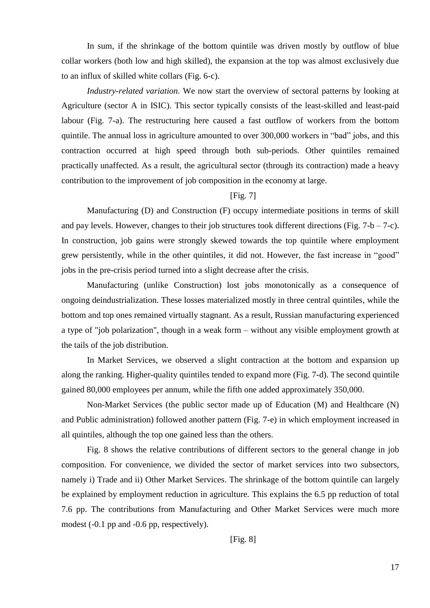In sum, if the shrinkage of the bottom quintile was driven mostly by outflow of blue collar workers (both low and high skilled), the expansion at the top was almost exclusively due to an influx of skilled white collars (Fig. 6-c).

*Industry-related variation.* We now start the overview of sectoral patterns by looking at Agriculture (sector A in ISIC). This sector typically consists of the least-skilled and least-paid labour (Fig. 7-a). The restructuring here caused a fast outflow of workers from the bottom quintile. The annual loss in agriculture amounted to over 300,000 workers in "bad" jobs, and this contraction occurred at high speed through both sub-periods. Other quintiles remained practically unaffected. As a result, the agricultural sector (through its contraction) made a heavy contribution to the improvement of job composition in the economy at large.

## [Fig. 7]

Manufacturing (D) and Construction (F) occupy intermediate positions in terms of skill and pay levels. However, changes to their job structures took different directions (Fig.  $7-b-7-c$ ). In construction, job gains were strongly skewed towards the top quintile where employment grew persistently, while in the other quintiles, it did not. However, the fast increase in "good" jobs in the pre-crisis period turned into a slight decrease after the crisis.

Manufacturing (unlike Construction) lost jobs monotonically as a consequence of ongoing deindustrialization. These losses materialized mostly in three central quintiles, while the bottom and top ones remained virtually stagnant. As a result, Russian manufacturing experienced a type of "job polarization", though in a weak form – without any visible employment growth at the tails of the job distribution.

In Market Services, we observed a slight contraction at the bottom and expansion up along the ranking. Higher-quality quintiles tended to expand more (Fig. 7-d). The second quintile gained 80,000 employees per annum, while the fifth one added approximately 350,000.

Non-Market Services (the public sector made up of Education (M) and Healthcare (N) and Public administration) followed another pattern (Fig. 7-e) in which employment increased in all quintiles, although the top one gained less than the others.

Fig. 8 shows the relative contributions of different sectors to the general change in job composition. For convenience, we divided the sector of market services into two subsectors, namely i) Trade and ii) Other Market Services. The shrinkage of the bottom quintile can largely be explained by employment reduction in agriculture. This explains the 6.5 pp reduction of total 7.6 pp. The contributions from Manufacturing and Other Market Services were much more modest (-0.1 pp and -0.6 pp, respectively).

[Fig. 8]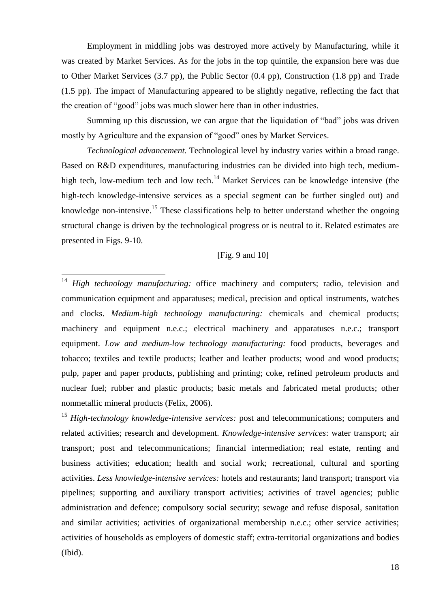Employment in middling jobs was destroyed more actively by Manufacturing, while it was created by Market Services. As for the jobs in the top quintile, the expansion here was due to Other Market Services (3.7 pp), the Public Sector (0.4 pp), Construction (1.8 pp) and Trade (1.5 pp). The impact of Manufacturing appeared to be slightly negative, reflecting the fact that the creation of "good" jobs was much slower here than in other industries.

Summing up this discussion, we can argue that the liquidation of "bad" jobs was driven mostly by Agriculture and the expansion of "good" ones by Market Services.

*Technological advancement.* Technological level by industry varies within a broad range. Based on R&D expenditures, manufacturing industries can be divided into high tech, mediumhigh tech, low-medium tech and low tech.<sup>14</sup> Market Services can be knowledge intensive (the high-tech knowledge-intensive services as a special segment can be further singled out) and knowledge non-intensive.<sup>15</sup> These classifications help to better understand whether the ongoing structural change is driven by the technological progress or is neutral to it. Related estimates are presented in Figs. 9-10.

## [Fig. 9 and 10]

<sup>14</sup> High technology manufacturing: office machinery and computers; radio, television and communication equipment and apparatuses; medical, precision and optical instruments, watches and clocks. *Medium-high technology manufacturing:* chemicals and chemical products; machinery and equipment n.e.c.; electrical machinery and apparatuses n.e.c.; transport equipment. *Low and medium-low technology manufacturing:* food products, beverages and tobacco; textiles and textile products; leather and leather products; wood and wood products; pulp, paper and paper products, publishing and printing; coke, refined petroleum products and nuclear fuel; rubber and plastic products; basic metals and fabricated metal products; other nonmetallic mineral products (Felix, 2006).

<u>.</u>

<sup>15</sup> High-technology knowledge-intensive services: post and telecommunications; computers and related activities; research and development. *Knowledge-intensive services*: water transport; air transport; post and telecommunications; financial intermediation; real estate, renting and business activities; education; health and social work; recreational, cultural and sporting activities. *Less knowledge-intensive services:* hotels and restaurants; land transport; transport via pipelines; supporting and auxiliary transport activities; activities of travel agencies; public administration and defence; compulsory social security; sewage and refuse disposal, sanitation and similar activities; activities of organizational membership n.e.c.; other service activities; activities of households as employers of domestic staff; extra-territorial organizations and bodies (Ibid).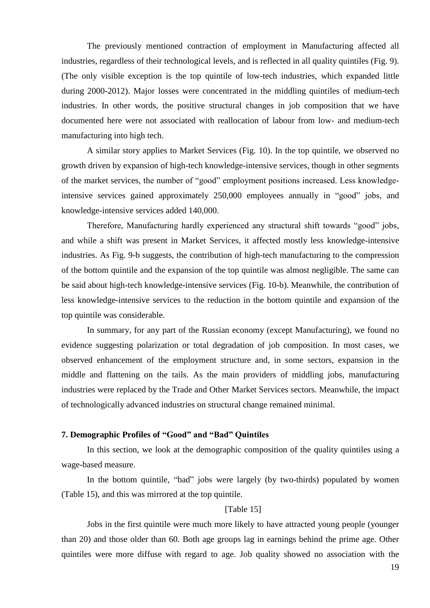The previously mentioned contraction of employment in Manufacturing affected all industries, regardless of their technological levels, and is reflected in all quality quintiles (Fig. 9). (The only visible exception is the top quintile of low-tech industries, which expanded little during 2000-2012). Major losses were concentrated in the middling quintiles of medium-tech industries. In other words, the positive structural changes in job composition that we have documented here were not associated with reallocation of labour from low- and medium-tech manufacturing into high tech.

A similar story applies to Market Services (Fig. 10). In the top quintile, we observed no growth driven by expansion of high-tech knowledge-intensive services, though in other segments of the market services, the number of "good" employment positions increased. Less knowledgeintensive services gained approximately 250,000 employees annually in "good" jobs, and knowledge-intensive services added 140,000.

Therefore, Manufacturing hardly experienced any structural shift towards "good" jobs, and while a shift was present in Market Services, it affected mostly less knowledge-intensive industries. As Fig. 9-b suggests, the contribution of high-tech manufacturing to the compression of the bottom quintile and the expansion of the top quintile was almost negligible. The same can be said about high-tech knowledge-intensive services (Fig. 10-b). Meanwhile, the contribution of less knowledge-intensive services to the reduction in the bottom quintile and expansion of the top quintile was considerable.

In summary, for any part of the Russian economy (except Manufacturing), we found no evidence suggesting polarization or total degradation of job composition. In most cases, we observed enhancement of the employment structure and, in some sectors, expansion in the middle and flattening on the tails. As the main providers of middling jobs, manufacturing industries were replaced by the Trade and Other Market Services sectors. Meanwhile, the impact of technologically advanced industries on structural change remained minimal.

## **7. Demographic Profiles of "Good" and "Bad" Quintiles**

In this section, we look at the demographic composition of the quality quintiles using a wage-based measure.

In the bottom quintile, "bad" jobs were largely (by two-thirds) populated by women (Table 15), and this was mirrored at the top quintile.

## [Table 15]

Jobs in the first quintile were much more likely to have attracted young people (younger than 20) and those older than 60. Both age groups lag in earnings behind the prime age. Other quintiles were more diffuse with regard to age. Job quality showed no association with the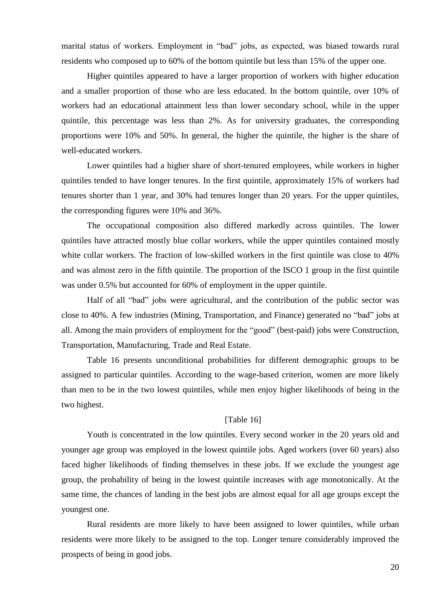marital status of workers. Employment in "bad" jobs, as expected, was biased towards rural residents who composed up to 60% of the bottom quintile but less than 15% of the upper one.

Higher quintiles appeared to have a larger proportion of workers with higher education and a smaller proportion of those who are less educated. In the bottom quintile, over 10% of workers had an educational attainment less than lower secondary school, while in the upper quintile, this percentage was less than 2%. As for university graduates, the corresponding proportions were 10% and 50%. In general, the higher the quintile, the higher is the share of well-educated workers.

Lower quintiles had a higher share of short-tenured employees, while workers in higher quintiles tended to have longer tenures. In the first quintile, approximately 15% of workers had tenures shorter than 1 year, and 30% had tenures longer than 20 years. For the upper quintiles, the corresponding figures were 10% and 36%.

The occupational composition also differed markedly across quintiles. The lower quintiles have attracted mostly blue collar workers, while the upper quintiles contained mostly white collar workers. The fraction of low-skilled workers in the first quintile was close to 40% and was almost zero in the fifth quintile. The proportion of the ISCO 1 group in the first quintile was under 0.5% but accounted for 60% of employment in the upper quintile.

Half of all "bad" jobs were agricultural, and the contribution of the public sector was close to 40%. A few industries (Mining, Transportation, and Finance) generated no "bad" jobs at all. Among the main providers of employment for the "good" (best-paid) jobs were Construction, Transportation, Manufacturing, Trade and Real Estate.

Table 16 presents unconditional probabilities for different demographic groups to be assigned to particular quintiles. According to the wage-based criterion, women are more likely than men to be in the two lowest quintiles, while men enjoy higher likelihoods of being in the two highest.

## [Table 16]

Youth is concentrated in the low quintiles. Every second worker in the 20 years old and younger age group was employed in the lowest quintile jobs. Aged workers (over 60 years) also faced higher likelihoods of finding themselves in these jobs. If we exclude the youngest age group, the probability of being in the lowest quintile increases with age monotonically. At the same time, the chances of landing in the best jobs are almost equal for all age groups except the youngest one.

Rural residents are more likely to have been assigned to lower quintiles, while urban residents were more likely to be assigned to the top. Longer tenure considerably improved the prospects of being in good jobs.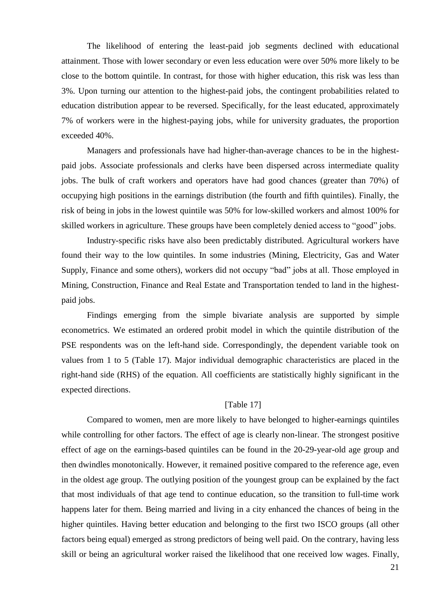The likelihood of entering the least-paid job segments declined with educational attainment. Those with lower secondary or even less education were over 50% more likely to be close to the bottom quintile. In contrast, for those with higher education, this risk was less than 3%. Upon turning our attention to the highest-paid jobs, the contingent probabilities related to education distribution appear to be reversed. Specifically, for the least educated, approximately 7% of workers were in the highest-paying jobs, while for university graduates, the proportion exceeded 40%.

Managers and professionals have had higher-than-average chances to be in the highestpaid jobs. Associate professionals and clerks have been dispersed across intermediate quality jobs. The bulk of craft workers and operators have had good chances (greater than 70%) of occupying high positions in the earnings distribution (the fourth and fifth quintiles). Finally, the risk of being in jobs in the lowest quintile was 50% for low-skilled workers and almost 100% for skilled workers in agriculture. These groups have been completely denied access to "good" jobs.

Industry-specific risks have also been predictably distributed. Agricultural workers have found their way to the low quintiles. In some industries (Mining, Electricity, Gas and Water Supply, Finance and some others), workers did not occupy "bad" jobs at all. Those employed in Mining, Construction, Finance and Real Estate and Transportation tended to land in the highestpaid jobs.

Findings emerging from the simple bivariate analysis are supported by simple econometrics. We estimated an ordered probit model in which the quintile distribution of the PSE respondents was on the left-hand side. Correspondingly, the dependent variable took on values from 1 to 5 (Table 17). Major individual demographic characteristics are placed in the right-hand side (RHS) of the equation. All coefficients are statistically highly significant in the expected directions.

### [Table 17]

Compared to women, men are more likely to have belonged to higher-earnings quintiles while controlling for other factors. The effect of age is clearly non-linear. The strongest positive effect of age on the earnings-based quintiles can be found in the 20-29-year-old age group and then dwindles monotonically. However, it remained positive compared to the reference age, even in the oldest age group. The outlying position of the youngest group can be explained by the fact that most individuals of that age tend to continue education, so the transition to full-time work happens later for them. Being married and living in a city enhanced the chances of being in the higher quintiles. Having better education and belonging to the first two ISCO groups (all other factors being equal) emerged as strong predictors of being well paid. On the contrary, having less skill or being an agricultural worker raised the likelihood that one received low wages. Finally,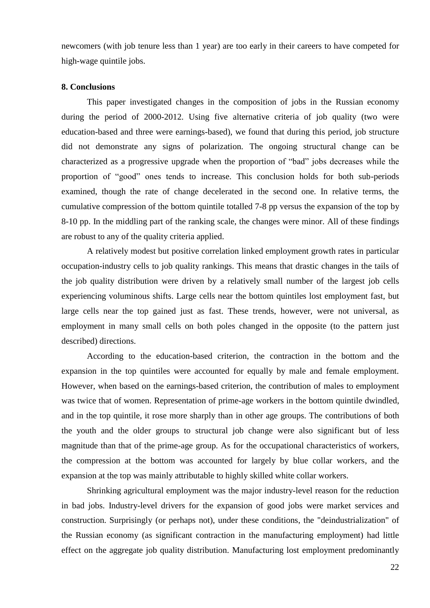newcomers (with job tenure less than 1 year) are too early in their careers to have competed for high-wage quintile jobs.

## **8. Conclusions**

This paper investigated changes in the composition of jobs in the Russian economy during the period of 2000-2012. Using five alternative criteria of job quality (two were education-based and three were earnings-based), we found that during this period, job structure did not demonstrate any signs of polarization. The ongoing structural change can be characterized as a progressive upgrade when the proportion of "bad" jobs decreases while the proportion of "good" ones tends to increase. This conclusion holds for both sub-periods examined, though the rate of change decelerated in the second one. In relative terms, the cumulative compression of the bottom quintile totalled 7-8 pp versus the expansion of the top by 8-10 pp. In the middling part of the ranking scale, the changes were minor. All of these findings are robust to any of the quality criteria applied.

A relatively modest but positive correlation linked employment growth rates in particular occupation-industry cells to job quality rankings. This means that drastic changes in the tails of the job quality distribution were driven by a relatively small number of the largest job cells experiencing voluminous shifts. Large cells near the bottom quintiles lost employment fast, but large cells near the top gained just as fast. These trends, however, were not universal, as employment in many small cells on both poles changed in the opposite (to the pattern just described) directions.

According to the education-based criterion, the contraction in the bottom and the expansion in the top quintiles were accounted for equally by male and female employment. However, when based on the earnings-based criterion, the contribution of males to employment was twice that of women. Representation of prime-age workers in the bottom quintile dwindled, and in the top quintile, it rose more sharply than in other age groups. The contributions of both the youth and the older groups to structural job change were also significant but of less magnitude than that of the prime-age group. As for the occupational characteristics of workers, the compression at the bottom was accounted for largely by blue collar workers, and the expansion at the top was mainly attributable to highly skilled white collar workers.

Shrinking agricultural employment was the major industry-level reason for the reduction in bad jobs. Industry-level drivers for the expansion of good jobs were market services and construction. Surprisingly (or perhaps not), under these conditions, the "deindustrialization" of the Russian economy (as significant contraction in the manufacturing employment) had little effect on the aggregate job quality distribution. Manufacturing lost employment predominantly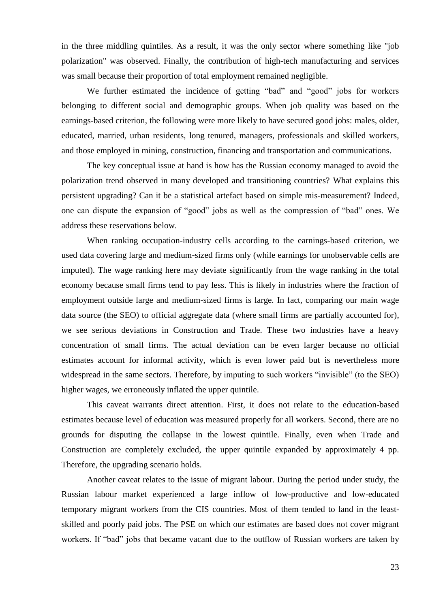in the three middling quintiles. As a result, it was the only sector where something like "job polarization" was observed. Finally, the contribution of high-tech manufacturing and services was small because their proportion of total employment remained negligible.

We further estimated the incidence of getting "bad" and "good" jobs for workers belonging to different social and demographic groups. When job quality was based on the earnings-based criterion, the following were more likely to have secured good jobs: males, older, educated, married, urban residents, long tenured, managers, professionals and skilled workers, and those employed in mining, construction, financing and transportation and communications.

The key conceptual issue at hand is how has the Russian economy managed to avoid the polarization trend observed in many developed and transitioning countries? What explains this persistent upgrading? Can it be a statistical artefact based on simple mis-measurement? Indeed, one can dispute the expansion of "good" jobs as well as the compression of "bad" ones. We address these reservations below.

When ranking occupation-industry cells according to the earnings-based criterion, we used data covering large and medium-sized firms only (while earnings for unobservable cells are imputed). The wage ranking here may deviate significantly from the wage ranking in the total economy because small firms tend to pay less. This is likely in industries where the fraction of employment outside large and medium-sized firms is large. In fact, comparing our main wage data source (the SEO) to official aggregate data (where small firms are partially accounted for), we see serious deviations in Construction and Trade. These two industries have a heavy concentration of small firms. The actual deviation can be even larger because no official estimates account for informal activity, which is even lower paid but is nevertheless more widespread in the same sectors. Therefore, by imputing to such workers "invisible" (to the SEO) higher wages, we erroneously inflated the upper quintile.

This caveat warrants direct attention. First, it does not relate to the education-based estimates because level of education was measured properly for all workers. Second, there are no grounds for disputing the collapse in the lowest quintile. Finally, even when Trade and Construction are completely excluded, the upper quintile expanded by approximately 4 pp. Therefore, the upgrading scenario holds.

Another caveat relates to the issue of migrant labour. During the period under study, the Russian labour market experienced a large inflow of low-productive and low-educated temporary migrant workers from the CIS countries. Most of them tended to land in the leastskilled and poorly paid jobs. The PSE on which our estimates are based does not cover migrant workers. If "bad" jobs that became vacant due to the outflow of Russian workers are taken by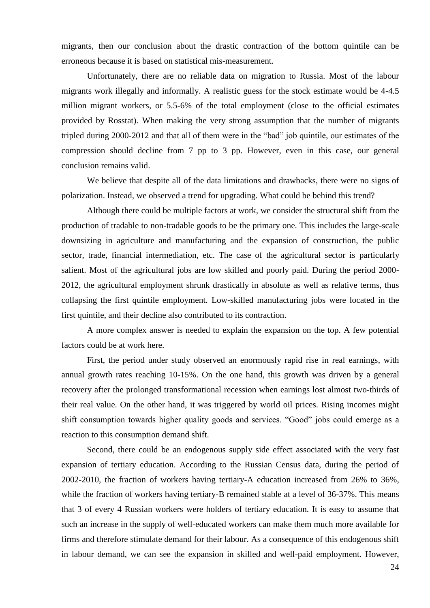migrants, then our conclusion about the drastic contraction of the bottom quintile can be erroneous because it is based on statistical mis-measurement.

Unfortunately, there are no reliable data on migration to Russia. Most of the labour migrants work illegally and informally. A realistic guess for the stock estimate would be 4-4.5 million migrant workers, or 5.5-6% of the total employment (close to the official estimates provided by Rosstat). When making the very strong assumption that the number of migrants tripled during 2000-2012 and that all of them were in the "bad" job quintile, our estimates of the compression should decline from 7 pp to 3 pp. However, even in this case, our general conclusion remains valid.

We believe that despite all of the data limitations and drawbacks, there were no signs of polarization. Instead, we observed a trend for upgrading. What could be behind this trend?

Although there could be multiple factors at work, we consider the structural shift from the production of tradable to non-tradable goods to be the primary one. This includes the large-scale downsizing in agriculture and manufacturing and the expansion of construction, the public sector, trade, financial intermediation, etc. The case of the agricultural sector is particularly salient. Most of the agricultural jobs are low skilled and poorly paid. During the period 2000- 2012, the agricultural employment shrunk drastically in absolute as well as relative terms, thus collapsing the first quintile employment. Low-skilled manufacturing jobs were located in the first quintile, and their decline also contributed to its contraction.

A more complex answer is needed to explain the expansion on the top. A few potential factors could be at work here.

First, the period under study observed an enormously rapid rise in real earnings, with annual growth rates reaching 10-15%. On the one hand, this growth was driven by a general recovery after the prolonged transformational recession when earnings lost almost two-thirds of their real value. On the other hand, it was triggered by world oil prices. Rising incomes might shift consumption towards higher quality goods and services. "Good" jobs could emerge as a reaction to this consumption demand shift.

Second, there could be an endogenous supply side effect associated with the very fast expansion of tertiary education. According to the Russian Census data, during the period of 2002-2010, the fraction of workers having tertiary-A education increased from 26% to 36%, while the fraction of workers having tertiary-B remained stable at a level of 36-37%. This means that 3 of every 4 Russian workers were holders of tertiary education. It is easy to assume that such an increase in the supply of well-educated workers can make them much more available for firms and therefore stimulate demand for their labour. As a consequence of this endogenous shift in labour demand, we can see the expansion in skilled and well-paid employment. However,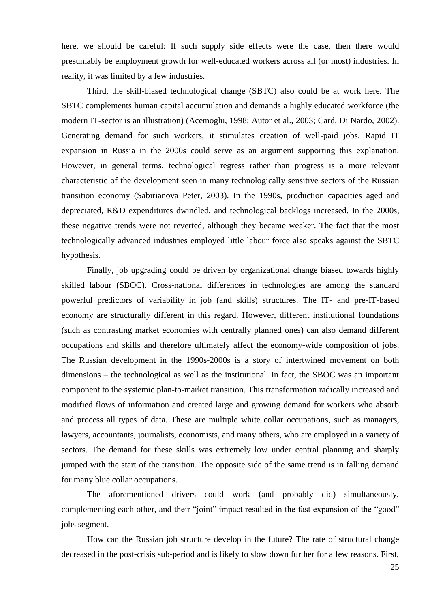here, we should be careful: If such supply side effects were the case, then there would presumably be employment growth for well-educated workers across all (or most) industries. In reality, it was limited by a few industries.

Third, the skill-biased technological change (SBTC) also could be at work here. The SBTC complements human capital accumulation and demands a highly educated workforce (the modern IT-sector is an illustration) (Acemoglu, 1998; Autor et al., 2003; Card, Di Nardo, 2002). Generating demand for such workers, it stimulates creation of well-paid jobs. Rapid IT expansion in Russia in the 2000s could serve as an argument supporting this explanation. However, in general terms, technological regress rather than progress is a more relevant characteristic of the development seen in many technologically sensitive sectors of the Russian transition economy (Sabirianova Peter, 2003). In the 1990s, production capacities aged and depreciated, R&D expenditures dwindled, and technological backlogs increased. In the 2000s, these negative trends were not reverted, although they became weaker. The fact that the most technologically advanced industries employed little labour force also speaks against the SBTC hypothesis.

Finally, job upgrading could be driven by organizational change biased towards highly skilled labour (SBOC). Cross-national differences in technologies are among the standard powerful predictors of variability in job (and skills) structures. The IT- and pre-IT-based economy are structurally different in this regard. However, different institutional foundations (such as contrasting market economies with centrally planned ones) can also demand different occupations and skills and therefore ultimately affect the economy-wide composition of jobs. The Russian development in the 1990s-2000s is a story of intertwined movement on both dimensions – the technological as well as the institutional. In fact, the SBOC was an important component to the systemic plan-to-market transition. This transformation radically increased and modified flows of information and created large and growing demand for workers who absorb and process all types of data. These are multiple white collar occupations, such as managers, lawyers, accountants, journalists, economists, and many others, who are employed in a variety of sectors. The demand for these skills was extremely low under central planning and sharply jumped with the start of the transition. The opposite side of the same trend is in falling demand for many blue collar occupations.

The aforementioned drivers could work (and probably did) simultaneously, complementing each other, and their "joint" impact resulted in the fast expansion of the "good" jobs segment.

How can the Russian job structure develop in the future? The rate of structural change decreased in the post-crisis sub-period and is likely to slow down further for a few reasons. First,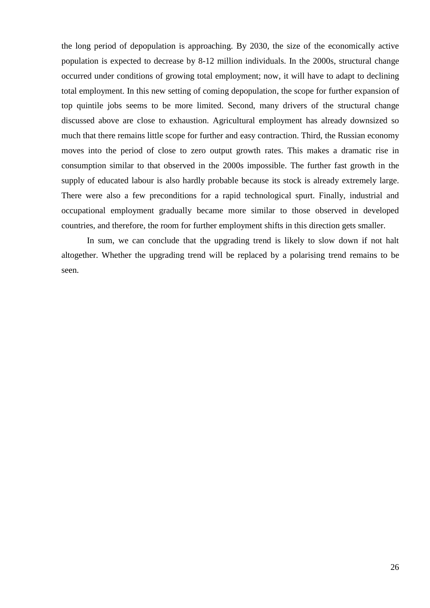the long period of depopulation is approaching. By 2030, the size of the economically active population is expected to decrease by 8-12 million individuals. In the 2000s, structural change occurred under conditions of growing total employment; now, it will have to adapt to declining total employment. In this new setting of coming depopulation, the scope for further expansion of top quintile jobs seems to be more limited. Second, many drivers of the structural change discussed above are close to exhaustion. Agricultural employment has already downsized so much that there remains little scope for further and easy contraction. Third, the Russian economy moves into the period of close to zero output growth rates. This makes a dramatic rise in consumption similar to that observed in the 2000s impossible. The further fast growth in the supply of educated labour is also hardly probable because its stock is already extremely large. There were also a few preconditions for a rapid technological spurt. Finally, industrial and occupational employment gradually became more similar to those observed in developed countries, and therefore, the room for further employment shifts in this direction gets smaller.

In sum, we can conclude that the upgrading trend is likely to slow down if not halt altogether. Whether the upgrading trend will be replaced by a polarising trend remains to be seen.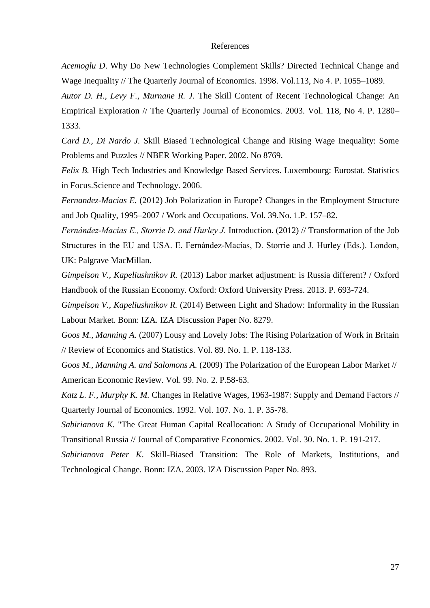### References

*Acemoglu D*. Why Do New Technologies Complement Skills? Directed Technical Change and Wage Inequality // The Quarterly Journal of Economics. 1998. Vol.113, No 4. P. 1055–1089.

*Autor D. H., Levy F., Murnane R. J.* The Skill Content of Recent Technological Change: An Empirical Exploration // The Quarterly Journal of Economics. 2003. Vol. 118, No 4. P. 1280– 1333.

*Card D., Di Nardo J.* Skill Biased Technological Change and Rising Wage Inequality: Some Problems and Puzzles // NBER Working Paper. 2002. No 8769.

*Felix B.* High Tech Industries and Knowledge Based Services. Luxembourg: Eurostat. Statistics in Focus.Science and Technology. 2006.

*Fernandez-Macias E.* (2012) Job Polarization in Europe? Changes in the Employment Structure and Job Quality, 1995–2007 / Work and Occupations. Vol. 39.No. 1.P. 157–82.

*Fernández-Macías E., Storrie D. and Hurley J.* Introduction. (2012) // Transformation of the Job Structures in the EU and USA. E. Fernández-Macías, D. Storrie and J. Hurley (Eds.). London, UK: Palgrave MacMillan.

*Gimpelson V., Kapeliushnikov R.* (2013) Labor market adjustment: is Russia different? / Oxford Handbook of the Russian Economy. Oxford: Oxford University Press. 2013. P. 693-724.

*Gimpelson V., [Kapeliushnikov R.](http://www.hse.ru/en/org/persons/203849)* (2014) Between Light and Shadow: Informality in the Russian Labour Market. Bonn: IZA. IZA Discussion Paper No. 8279.

*Goos M., Manning A.* (2007) Lousy and Lovely Jobs: The Rising Polarization of Work in Britain // Review of Economics and Statistics. Vol. 89. No. 1. P. 118-133.

*Goos M., Manning A. and Salomons A.* (2009) The Polarization of the European Labor Market // American Economic Review. Vol. 99. No. 2. P.58-63.

*Katz L. F., Murphy K. M.* Changes in Relative Wages, 1963-1987: Supply and Demand Factors // Quarterly Journal of Economics. 1992. Vol. 107. No. 1. P. 35-78.

*Sabirianova K.* ["The Great Human Capital Reallocation: A Study of Occupational Mobility in](http://ideas.repec.org/a/eee/jcecon/v30y2002i1p191-217.html)  [Transitional Russia](http://ideas.repec.org/a/eee/jcecon/v30y2002i1p191-217.html) // [Journal of Comparative Economics.](http://ideas.repec.org/s/eee/jcecon.html) 2002. Vol. 30. No. 1. P. 191-217.

*Sabirianova Peter K*. Skill-Biased Transition: The Role of Markets, Institutions, and Technological Change. Bonn: IZA. 2003. IZA Discussion Paper No. 893.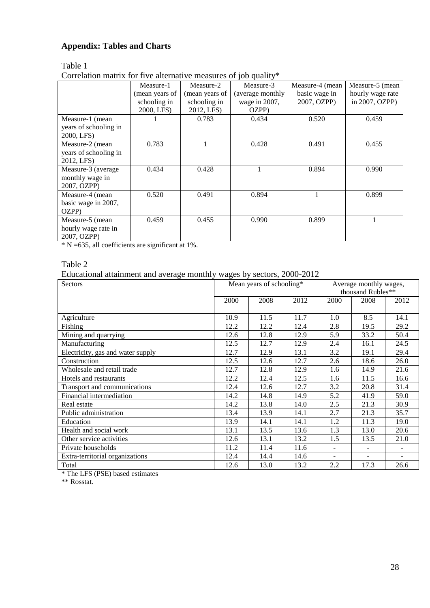## **Appendix: Tables and Charts**

## Table 1

Correlation matrix for five alternative measures of job quality\*

|                       |                |                | $100 - 9$        |                 |                  |
|-----------------------|----------------|----------------|------------------|-----------------|------------------|
|                       | Measure-1      | Measure-2      | Measure-3        | Measure-4 (mean | Measure-5 (mean  |
|                       | (mean years of | (mean years of | (average monthly | basic wage in   | hourly wage rate |
|                       | schooling in   | schooling in   | wage in 2007,    | 2007, OZPP)     | in 2007, OZPP)   |
|                       | 2000, LFS)     | 2012, LFS)     | OZPP)            |                 |                  |
| Measure-1 (mean       |                | 0.783          | 0.434            | 0.520           | 0.459            |
| years of schooling in |                |                |                  |                 |                  |
| 2000, LFS)            |                |                |                  |                 |                  |
| Measure-2 (mean       | 0.783          |                | 0.428            | 0.491           | 0.455            |
| years of schooling in |                |                |                  |                 |                  |
| 2012, LFS)            |                |                |                  |                 |                  |
| Measure-3 (average    | 0.434          | 0.428          |                  | 0.894           | 0.990            |
| monthly wage in       |                |                |                  |                 |                  |
| 2007, OZPP)           |                |                |                  |                 |                  |
| Measure-4 (mean       | 0.520          | 0.491          | 0.894            |                 | 0.899            |
| basic wage in 2007,   |                |                |                  |                 |                  |
| OZPP)                 |                |                |                  |                 |                  |
| Measure-5 (mean       | 0.459          | 0.455          | 0.990            | 0.899           |                  |
| hourly wage rate in   |                |                |                  |                 |                  |
| 2007, OZPP)           |                |                |                  |                 |                  |

 $* N = 635$ , all coefficients are significant at 1%.

## Table 2

Educational attainment and average monthly wages by sectors, 2000-2012

| $\frac{1}{2}$ and $\frac{1}{2}$ are $\frac{1}{2}$ and $\frac{1}{2}$ are $\frac{1}{2}$ and $\frac{1}{2}$ and $\frac{1}{2}$ are $\frac{1}{2}$ are $\frac{1}{2}$ are $\frac{1}{2}$ and $\frac{1}{2}$ are $\frac{1}{2}$ are $\frac{1}{2}$ and $\frac{1}{2}$ are $\frac{1}{2}$ are $\frac{1}{2}$ a<br><b>Sectors</b> |      | Mean years of schooling* |      | Average monthly wages,<br>thousand Rubles** |                          |                          |
|-----------------------------------------------------------------------------------------------------------------------------------------------------------------------------------------------------------------------------------------------------------------------------------------------------------------|------|--------------------------|------|---------------------------------------------|--------------------------|--------------------------|
|                                                                                                                                                                                                                                                                                                                 | 2000 | 2008                     | 2012 | 2000                                        | 2008                     | 2012                     |
| Agriculture                                                                                                                                                                                                                                                                                                     | 10.9 | 11.5                     | 11.7 | 1.0                                         | 8.5                      | 14.1                     |
| Fishing                                                                                                                                                                                                                                                                                                         | 12.2 | 12.2                     | 12.4 | 2.8                                         | 19.5                     | 29.2                     |
| Mining and quarrying                                                                                                                                                                                                                                                                                            | 12.6 | 12.8                     | 12.9 | 5.9                                         | 33.2                     | 50.4                     |
| Manufacturing                                                                                                                                                                                                                                                                                                   | 12.5 | 12.7                     | 12.9 | 2.4                                         | 16.1                     | 24.5                     |
| Electricity, gas and water supply                                                                                                                                                                                                                                                                               | 12.7 | 12.9                     | 13.1 | 3.2                                         | 19.1                     | 29.4                     |
| Construction                                                                                                                                                                                                                                                                                                    | 12.5 | 12.6                     | 12.7 | 2.6                                         | 18.6                     | 26.0                     |
| Wholesale and retail trade                                                                                                                                                                                                                                                                                      | 12.7 | 12.8                     | 12.9 | 1.6                                         | 14.9                     | 21.6                     |
| Hotels and restaurants                                                                                                                                                                                                                                                                                          | 12.2 | 12.4                     | 12.5 | 1.6                                         | 11.5                     | 16.6                     |
| Transport and communications                                                                                                                                                                                                                                                                                    | 12.4 | 12.6                     | 12.7 | 3.2                                         | 20.8                     | 31.4                     |
| Financial intermediation                                                                                                                                                                                                                                                                                        | 14.2 | 14.8                     | 14.9 | 5.2                                         | 41.9                     | 59.0                     |
| Real estate                                                                                                                                                                                                                                                                                                     | 14.2 | 13.8                     | 14.0 | 2.5                                         | 21.3                     | 30.9                     |
| Public administration                                                                                                                                                                                                                                                                                           | 13.4 | 13.9                     | 14.1 | 2.7                                         | 21.3                     | 35.7                     |
| Education                                                                                                                                                                                                                                                                                                       | 13.9 | 14.1                     | 14.1 | 1.2                                         | 11.3                     | 19.0                     |
| Health and social work                                                                                                                                                                                                                                                                                          | 13.1 | 13.5                     | 13.6 | 1.3                                         | 13.0                     | 20.6                     |
| Other service activities                                                                                                                                                                                                                                                                                        | 12.6 | 13.1                     | 13.2 | 1.5                                         | 13.5                     | 21.0                     |
| Private households                                                                                                                                                                                                                                                                                              | 11.2 | 11.4                     | 11.6 | $\blacksquare$                              | $\overline{\phantom{a}}$ | $\overline{\phantom{a}}$ |
| Extra-territorial organizations                                                                                                                                                                                                                                                                                 | 12.4 | 14.4                     | 14.6 |                                             |                          |                          |
| Total                                                                                                                                                                                                                                                                                                           | 12.6 | 13.0                     | 13.2 | 2.2                                         | 17.3                     | 26.6                     |

\* The LFS (PSE) based estimates

\*\* Rosstat.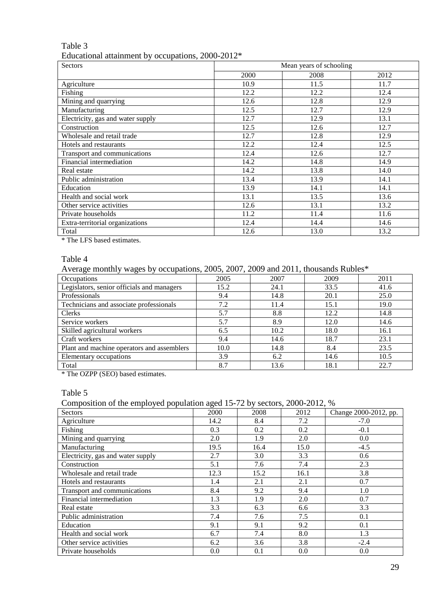## Table 3 Educational attainment by occupations, 2000-2012\*

| Sectors                           |      | Mean years of schooling |      |
|-----------------------------------|------|-------------------------|------|
|                                   | 2000 | 2008                    | 2012 |
| Agriculture                       | 10.9 | 11.5                    | 11.7 |
| Fishing                           | 12.2 | 12.2                    | 12.4 |
| Mining and quarrying              | 12.6 | 12.8                    | 12.9 |
| Manufacturing                     | 12.5 | 12.7                    | 12.9 |
| Electricity, gas and water supply | 12.7 | 12.9                    | 13.1 |
| Construction                      | 12.5 | 12.6                    | 12.7 |
| Wholesale and retail trade        | 12.7 | 12.8                    | 12.9 |
| Hotels and restaurants            | 12.2 | 12.4                    | 12.5 |
| Transport and communications      | 12.4 | 12.6                    | 12.7 |
| Financial intermediation          | 14.2 | 14.8                    | 14.9 |
| Real estate                       | 14.2 | 13.8                    | 14.0 |
| Public administration             | 13.4 | 13.9                    | 14.1 |
| Education                         | 13.9 | 14.1                    | 14.1 |
| Health and social work            | 13.1 | 13.5                    | 13.6 |
| Other service activities          | 12.6 | 13.1                    | 13.2 |
| Private households                | 11.2 | 11.4                    | 11.6 |
| Extra-territorial organizations   | 12.4 | 14.4                    | 14.6 |
| Total                             | 12.6 | 13.0                    | 13.2 |

\* The LFS based estimates.

### Table 4

Average monthly wages by occupations, 2005, 2007, 2009 and 2011, thousands Rubles\*

| Occupations                                | 2005 | 2007 | 2009 | 2011 |
|--------------------------------------------|------|------|------|------|
| Legislators, senior officials and managers | 15.2 | 24.1 | 33.5 | 41.6 |
| Professionals                              | 9.4  | 14.8 | 20.1 | 25.0 |
| Technicians and associate professionals    | 7.2  | 11.4 | 15.1 | 19.0 |
| <b>Clerks</b>                              | 5.7  | 8.8  | 12.2 | 14.8 |
| Service workers                            | 5.7  | 8.9  | 12.0 | 14.6 |
| Skilled agricultural workers               | 6.5  | 10.2 | 18.0 | 16.1 |
| Craft workers                              | 9.4  | 14.6 | 18.7 | 23.1 |
| Plant and machine operators and assemblers | 10.0 | 14.8 | 8.4  | 23.5 |
| Elementary occupations                     | 3.9  | 6.2  | 14.6 | 10.5 |
| Total                                      | 8.7  | 13.6 | 18.1 | 22.7 |

\* The OZPP (SEO) based estimates.

Table 5

Composition of the employed population aged 15-72 by sectors, 2000-2012, %

| Sectors                           | 2000 | 2008 | 2012 | Change 2000-2012, pp. |
|-----------------------------------|------|------|------|-----------------------|
| Agriculture                       | 14.2 | 8.4  | 7.2  | $-7.0$                |
| Fishing                           | 0.3  | 0.2  | 0.2  | $-0.1$                |
| Mining and quarrying              | 2.0  | 1.9  | 2.0  | 0.0                   |
| Manufacturing                     | 19.5 | 16.4 | 15.0 | $-4.5$                |
| Electricity, gas and water supply | 2.7  | 3.0  | 3.3  | 0.6                   |
| Construction                      | 5.1  | 7.6  | 7.4  | 2.3                   |
| Wholesale and retail trade        | 12.3 | 15.2 | 16.1 | 3.8                   |
| Hotels and restaurants            | 1.4  | 2.1  | 2.1  | 0.7                   |
| Transport and communications      | 8.4  | 9.2  | 9.4  | 1.0                   |
| Financial intermediation          | 1.3  | 1.9  | 2.0  | 0.7                   |
| Real estate                       | 3.3  | 6.3  | 6.6  | 3.3                   |
| Public administration             | 7.4  | 7.6  | 7.5  | 0.1                   |
| Education                         | 9.1  | 9.1  | 9.2  | 0.1                   |
| Health and social work            | 6.7  | 7.4  | 8.0  | 1.3                   |
| Other service activities          | 6.2  | 3.6  | 3.8  | $-2.4$                |
| Private households                | 0.0  | 0.1  | 0.0  | 0.0                   |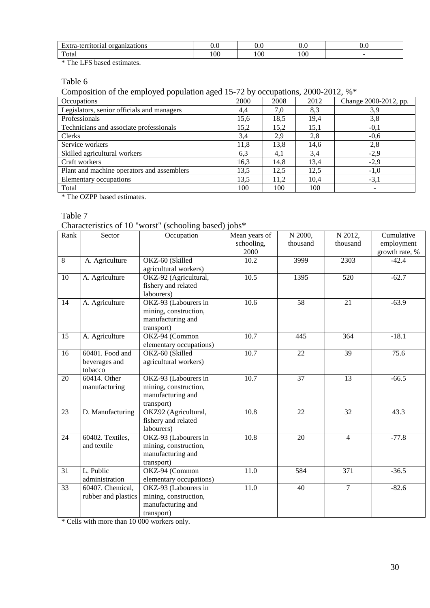| -<br>organizations<br>toria<br>tarrı<br>и. | ∪.∪ |     | ∪.∪ | v.v |
|--------------------------------------------|-----|-----|-----|-----|
| Total                                      | 100 | 100 | 100 |     |

\* The LFS based estimates.

Table 6

Composition of the employed population aged 15-72 by occupations, 2000-2012, %\*

| Occupations                                | 2000 | 2008 | 2012 | Change 2000-2012, pp. |
|--------------------------------------------|------|------|------|-----------------------|
| Legislators, senior officials and managers | 4,4  | 7,0  | 8,3  | 3,9                   |
| Professionals                              | 15,6 | 18,5 | 19,4 | 3,8                   |
| Technicians and associate professionals    | 15,2 | 15,2 | 15,1 | $-0,1$                |
| <b>Clerks</b>                              | 3.4  | 2,9  | 2.8  | $-0.6$                |
| Service workers                            | 11,8 | 13,8 | 14,6 | 2,8                   |
| Skilled agricultural workers               | 6,3  | 4,1  | 3,4  | $-2,9$                |
| Craft workers                              | 16,3 | 14,8 | 13,4 | $-2,9$                |
| Plant and machine operators and assemblers | 13,5 | 12,5 | 12,5 | $-1,0$                |
| Elementary occupations                     | 13,5 | 11,2 | 10,4 | $-3,1$                |
| Total                                      | 100  | 100  | 100  |                       |

\* The OZPP based estimates.

Table 7

Characteristics of 10 "worst" (schooling based) jobs\*

| Rank | Sector                                      | Occupation                                                                       | Mean years of<br>schooling,<br>2000 | N 2000,<br>thousand | N 2012,<br>thousand | Cumulative<br>employment<br>growth rate, % |
|------|---------------------------------------------|----------------------------------------------------------------------------------|-------------------------------------|---------------------|---------------------|--------------------------------------------|
| 8    | A. Agriculture                              | OKZ-60 (Skilled<br>agricultural workers)                                         | 10.2                                | 3999                | 2303                | $-42.4$                                    |
| 10   | A. Agriculture                              | OKZ-92 (Agricultural,<br>fishery and related<br>labourers)                       | 10.5                                | 1395                | 520                 | $-62.7$                                    |
| 14   | A. Agriculture                              | OKZ-93 (Labourers in<br>mining, construction,<br>manufacturing and<br>transport) | 10.6                                | 58                  | 21                  | $-63.9$                                    |
| 15   | A. Agriculture                              | OKZ-94 (Common<br>elementary occupations)                                        | $\overline{10.7}$                   | 445                 | 364                 | $-18.1$                                    |
| 16   | 60401. Food and<br>beverages and<br>tobacco | OKZ-60 (Skilled<br>agricultural workers)                                         | $\overline{10.7}$                   | 22                  | 39                  | 75.6                                       |
| 20   | 60414. Other<br>manufacturing               | OKZ-93 (Labourers in<br>mining, construction,<br>manufacturing and<br>transport) | 10.7                                | 37                  | 13                  | $-66.5$                                    |
| 23   | D. Manufacturing                            | OKZ92 (Agricultural,<br>fishery and related<br>labourers)                        | 10.8                                | 22                  | 32                  | 43.3                                       |
| 24   | 60402. Textiles,<br>and textile             | OKZ-93 (Labourers in<br>mining, construction,<br>manufacturing and<br>transport) | 10.8                                | 20                  | $\overline{4}$      | $-77.8$                                    |
| 31   | L. Public<br>administration                 | OKZ-94 (Common<br>elementary occupations)                                        | 11.0                                | 584                 | 371                 | $-36.5$                                    |
| 33   | 60407. Chemical,<br>rubber and plastics     | OKZ-93 (Labourers in<br>mining, construction,<br>manufacturing and<br>transport) | 11.0                                | 40                  | $\overline{7}$      | $-82.6$                                    |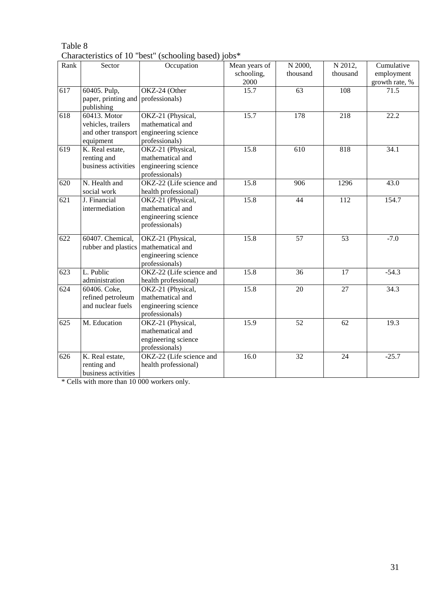| Rank             | Sector              | Occupation               | Mean years of | N 2000,         | N 2012,         | Cumulative     |
|------------------|---------------------|--------------------------|---------------|-----------------|-----------------|----------------|
|                  |                     |                          | schooling,    | thousand        | thousand        | employment     |
|                  |                     |                          | 2000          |                 |                 | growth rate, % |
| 617              | 60405. Pulp,        | OKZ-24 (Other            | 15.7          | 63              | 108             | 71.5           |
|                  | paper, printing and | professionals)           |               |                 |                 |                |
|                  | publishing          |                          |               |                 |                 |                |
| 618              | 60413. Motor        | OKZ-21 (Physical,        | 15.7          | 178             | 218             | 22.2           |
|                  | vehicles, trailers  | mathematical and         |               |                 |                 |                |
|                  | and other transport | engineering science      |               |                 |                 |                |
|                  | equipment           | professionals)           |               |                 |                 |                |
| 619              | K. Real estate,     | OKZ-21 (Physical,        | 15.8          | 610             | 818             | 34.1           |
|                  | renting and         | mathematical and         |               |                 |                 |                |
|                  | business activities | engineering science      |               |                 |                 |                |
|                  |                     | professionals)           |               |                 |                 |                |
| 620              | N. Health and       | OKZ-22 (Life science and | 15.8          | 906             | 1296            | 43.0           |
|                  | social work         | health professional)     |               |                 |                 |                |
| $\overline{621}$ | J. Financial        | OKZ-21 (Physical,        | 15.8          | 44              | 112             | 154.7          |
|                  | intermediation      | mathematical and         |               |                 |                 |                |
|                  |                     | engineering science      |               |                 |                 |                |
|                  |                     | professionals)           |               |                 |                 |                |
| 622              | 60407. Chemical,    | OKZ-21 (Physical,        | 15.8          | 57              | 53              | $-7.0$         |
|                  | rubber and plastics | mathematical and         |               |                 |                 |                |
|                  |                     | engineering science      |               |                 |                 |                |
|                  |                     | professionals)           |               |                 |                 |                |
| 623              | L. Public           | OKZ-22 (Life science and | 15.8          | 36              | 17              | $-54.3$        |
|                  | administration      | health professional)     |               |                 |                 |                |
| 624              | 60406. Coke,        | OKZ-21 (Physical,        | 15.8          | 20              | 27              | 34.3           |
|                  | refined petroleum   | mathematical and         |               |                 |                 |                |
|                  | and nuclear fuels   | engineering science      |               |                 |                 |                |
|                  |                     | professionals)           |               |                 |                 |                |
| 625              | M. Education        | OKZ-21 (Physical,        | 15.9          | 52              | 62              | 19.3           |
|                  |                     | mathematical and         |               |                 |                 |                |
|                  |                     | engineering science      |               |                 |                 |                |
|                  |                     | professionals)           |               |                 |                 |                |
| 626              | K. Real estate,     | OKZ-22 (Life science and | 16.0          | $\overline{32}$ | $\overline{24}$ | $-25.7$        |
|                  | renting and         | health professional)     |               |                 |                 |                |
|                  | business activities |                          |               |                 |                 |                |

Table 8 Characteristics of 10 "best" (schooling based) jobs\*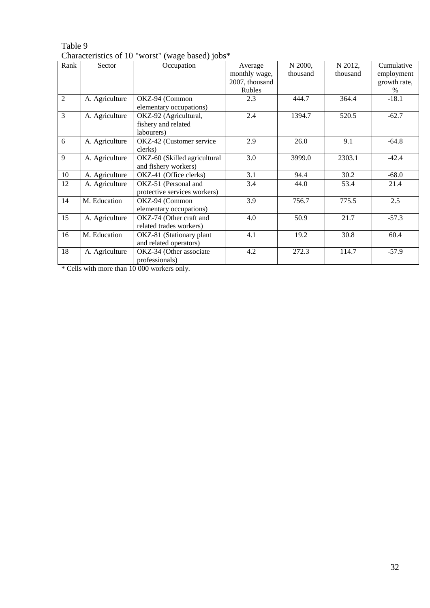| Rank           | Sector         | $m$ and $m$ and $m$ and $m$ and $m$ and $m$<br>Occupation | Average        | N 2000,  | N 2012,  | Cumulative   |
|----------------|----------------|-----------------------------------------------------------|----------------|----------|----------|--------------|
|                |                |                                                           | monthly wage,  | thousand | thousand | employment   |
|                |                |                                                           | 2007, thousand |          |          | growth rate, |
|                |                |                                                           | Rubles         |          |          | $\%$         |
| $\overline{2}$ | A. Agriculture | OKZ-94 (Common                                            | 2.3            | 444.7    | 364.4    | $-18.1$      |
|                |                | elementary occupations)                                   |                |          |          |              |
| 3              | A. Agriculture | OKZ-92 (Agricultural,                                     | 2.4            | 1394.7   | 520.5    | $-62.7$      |
|                |                | fishery and related                                       |                |          |          |              |
|                |                | labourers)                                                |                |          |          |              |
| 6              | A. Agriculture | OKZ-42 (Customer service                                  | 2.9            | 26.0     | 9.1      | $-64.8$      |
|                |                | clerks)                                                   |                |          |          |              |
| 9              | A. Agriculture | OKZ-60 (Skilled agricultural                              | 3.0            | 3999.0   | 2303.1   | $-42.4$      |
|                |                | and fishery workers)                                      |                |          |          |              |
| 10             | A. Agriculture | OKZ-41 (Office clerks)                                    | 3.1            | 94.4     | 30.2     | $-68.0$      |
| 12             | A. Agriculture | OKZ-51 (Personal and                                      | 3.4            | 44.0     | 53.4     | 21.4         |
|                |                | protective services workers)                              |                |          |          |              |
| 14             | M. Education   | OKZ-94 (Common                                            | 3.9            | 756.7    | 775.5    | 2.5          |
|                |                | elementary occupations)                                   |                |          |          |              |
| 15             | A. Agriculture | OKZ-74 (Other craft and                                   | 4.0            | 50.9     | 21.7     | $-57.3$      |
|                |                | related trades workers)                                   |                |          |          |              |
| 16             | M. Education   | OKZ-81 (Stationary plant                                  | 4.1            | 19.2     | 30.8     | 60.4         |
|                |                | and related operators)                                    |                |          |          |              |
| 18             | A. Agriculture | OKZ-34 (Other associate                                   | 4.2            | 272.3    | 114.7    | $-57.9$      |
|                |                | professionals)                                            |                |          |          |              |

## Table 9 Characteristics of 10 "worst" (wage based) jobs\*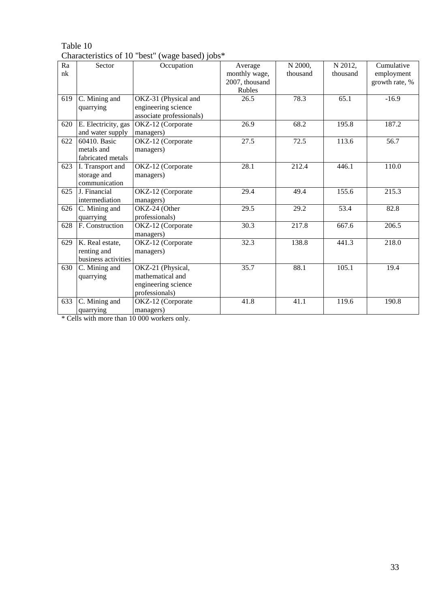|     | Characteristics of TO Test | $(w$ agu basuu) juus     |                |          |          |                |
|-----|----------------------------|--------------------------|----------------|----------|----------|----------------|
| Ra  | Sector                     | Occupation               | Average        | N 2000,  | N 2012,  | Cumulative     |
| nk  |                            |                          | monthly wage,  | thousand | thousand | employment     |
|     |                            |                          | 2007, thousand |          |          | growth rate, % |
|     |                            |                          | Rubles         |          |          |                |
| 619 | C. Mining and              | OKZ-31 (Physical and     | 26.5           | 78.3     | 65.1     | $-16.9$        |
|     | quarrying                  | engineering science      |                |          |          |                |
|     |                            | associate professionals) |                |          |          |                |
| 620 | E. Electricity, gas        | OKZ-12 (Corporate        | 26.9           | 68.2     | 195.8    | 187.2          |
|     | and water supply           | managers)                |                |          |          |                |
| 622 | 60410. Basic               | OKZ-12 (Corporate        | 27.5           | 72.5     | 113.6    | 56.7           |
|     | metals and                 | managers)                |                |          |          |                |
|     | fabricated metals          |                          |                |          |          |                |
| 623 | I. Transport and           | OKZ-12 (Corporate        | 28.1           | 212.4    | 446.1    | 110.0          |
|     | storage and                | managers)                |                |          |          |                |
|     | communication              |                          |                |          |          |                |
| 625 | J. Financial               | OKZ-12 (Corporate        | 29.4           | 49.4     | 155.6    | 215.3          |
|     | intermediation             | managers)                |                |          |          |                |
| 626 | C. Mining and              | OKZ-24 (Other            | 29.5           | 29.2     | 53.4     | 82.8           |
|     | quarrying                  | professionals)           |                |          |          |                |
| 628 | F. Construction            | OKZ-12 (Corporate        | 30.3           | 217.8    | 667.6    | 206.5          |
|     |                            | managers)                |                |          |          |                |
| 629 | K. Real estate,            | OKZ-12 (Corporate        | 32.3           | 138.8    | 441.3    | 218.0          |
|     | renting and                | managers)                |                |          |          |                |
|     | business activities        |                          |                |          |          |                |
| 630 | C. Mining and              | OKZ-21 (Physical,        | 35.7           | 88.1     | 105.1    | 19.4           |
|     | quarrying                  | mathematical and         |                |          |          |                |
|     |                            | engineering science      |                |          |          |                |
|     |                            | professionals)           |                |          |          |                |
| 633 | C. Mining and              | OKZ-12 (Corporate        | 41.8           | 41.1     | 119.6    | 190.8          |
|     | quarrying                  | managers)                |                |          |          |                |

Table 10 Characteristics of 10 "best" (wage based) jobs\*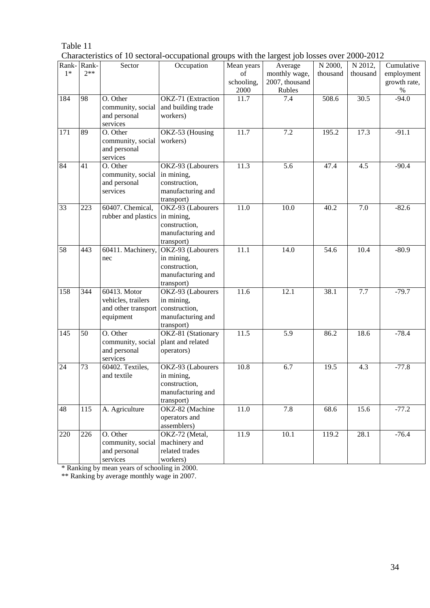| Characteristics of 10 sectoral-occupational groups with the largest job losses over 2000-2012 |  |  |  |
|-----------------------------------------------------------------------------------------------|--|--|--|
|-----------------------------------------------------------------------------------------------|--|--|--|

|       |       |                                   | execute occupational groups with the hargest job rosses over |            |                |          |          |              |
|-------|-------|-----------------------------------|--------------------------------------------------------------|------------|----------------|----------|----------|--------------|
| Rank- | Rank- | Sector                            | Occupation                                                   | Mean years | Average        | N 2000,  | N 2012,  | Cumulative   |
| $1*$  | $2**$ |                                   |                                                              | of         | monthly wage,  | thousand | thousand | employment   |
|       |       |                                   |                                                              | schooling, | 2007, thousand |          |          | growth rate, |
|       |       |                                   |                                                              | 2000       | Rubles         |          |          | $\%$         |
| 184   | 98    | O. Other                          | OKZ-71 (Extraction                                           | 11.7       | 7.4            | 508.6    | 30.5     | $-94.0$      |
|       |       | community, social                 | and building trade                                           |            |                |          |          |              |
|       |       | and personal                      | workers)                                                     |            |                |          |          |              |
|       |       | services                          |                                                              |            |                |          |          |              |
| 171   | 89    | O. Other                          | OKZ-53 (Housing                                              | 11.7       | 7.2            | 195.2    | 17.3     | $-91.1$      |
|       |       | community, social                 | workers)                                                     |            |                |          |          |              |
|       |       | and personal                      |                                                              |            |                |          |          |              |
|       |       | services                          |                                                              |            |                |          |          |              |
| 84    | 41    | O. Other                          | OKZ-93 (Labourers                                            | 11.3       | 5.6            | 47.4     | 4.5      | $-90.4$      |
|       |       |                                   |                                                              |            |                |          |          |              |
|       |       | community, social                 | in mining,                                                   |            |                |          |          |              |
|       |       | and personal                      | construction,                                                |            |                |          |          |              |
|       |       | services                          | manufacturing and                                            |            |                |          |          |              |
|       |       |                                   | transport)                                                   |            |                |          |          |              |
| 33    | 223   | 60407. Chemical,                  | OKZ-93 (Labourers                                            | 11.0       | 10.0           | 40.2     | 7.0      | $-82.6$      |
|       |       | rubber and plastics               | in mining,                                                   |            |                |          |          |              |
|       |       |                                   | construction,                                                |            |                |          |          |              |
|       |       |                                   | manufacturing and                                            |            |                |          |          |              |
|       |       |                                   | transport)                                                   |            |                |          |          |              |
| 58    | 443   | 60411. Machinery,                 | OKZ-93 (Labourers                                            | 11.1       | 14.0           | 54.6     | 10.4     | $-80.9$      |
|       |       | nec                               | in mining,                                                   |            |                |          |          |              |
|       |       |                                   | construction,                                                |            |                |          |          |              |
|       |       |                                   | manufacturing and                                            |            |                |          |          |              |
|       |       |                                   | transport)                                                   |            |                |          |          |              |
| 158   | 344   | 60413. Motor                      | OKZ-93 (Labourers                                            | 11.6       | 12.1           | 38.1     | 7.7      | $-79.7$      |
|       |       |                                   |                                                              |            |                |          |          |              |
|       |       | vehicles, trailers                | in mining,                                                   |            |                |          |          |              |
|       |       | and other transport construction, |                                                              |            |                |          |          |              |
|       |       | equipment                         | manufacturing and                                            |            |                |          |          |              |
|       |       |                                   | transport)                                                   |            |                |          |          |              |
| 145   | 50    | O. Other                          | OKZ-81 (Stationary                                           | 11.5       | 5.9            | 86.2     | 18.6     | $-78.4$      |
|       |       | community, social                 | plant and related                                            |            |                |          |          |              |
|       |       | and personal                      | operators)                                                   |            |                |          |          |              |
|       |       | services                          |                                                              |            |                |          |          |              |
| 24    | 73    | 60402. Textiles,                  | OKZ-93 (Labourers                                            | 10.8       | 6.7            | 19.5     | 4.3      | $-77.8$      |
|       |       | and textile                       | in mining,                                                   |            |                |          |          |              |
|       |       |                                   | construction,                                                |            |                |          |          |              |
|       |       |                                   | manufacturing and                                            |            |                |          |          |              |
|       |       |                                   | transport)                                                   |            |                |          |          |              |
| 48    | 115   | A. Agriculture                    | OKZ-82 (Machine                                              | $11.0\,$   | 7.8            | 68.6     | 15.6     | $-77.2$      |
|       |       |                                   | operators and                                                |            |                |          |          |              |
|       |       |                                   | assemblers)                                                  |            |                |          |          |              |
| 220   | 226   | O. Other                          |                                                              | 11.9       | 10.1           | 119.2    | 28.1     | $-76.4$      |
|       |       |                                   | OKZ-72 (Metal,                                               |            |                |          |          |              |
|       |       | community, social                 | machinery and                                                |            |                |          |          |              |
|       |       | and personal                      | related trades                                               |            |                |          |          |              |
|       |       | services                          | workers)                                                     |            |                |          |          |              |

\* Ranking by mean years of schooling in 2000.

\*\* Ranking by average monthly wage in 2007.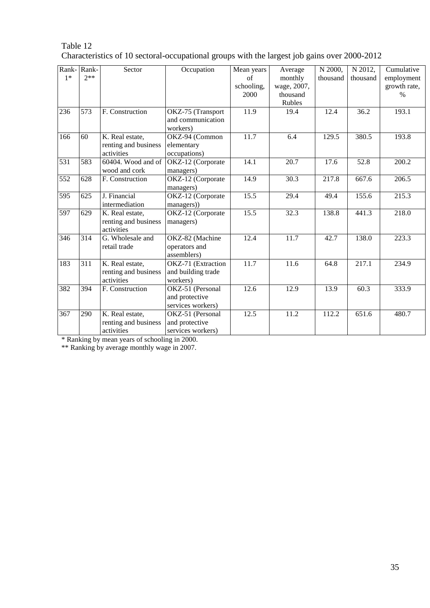| Rank-<br>$1*$ | Rank-<br>$2**$ | Sector                                                              | Occupation                                              | Mean years<br>of   | Average<br>monthly                       | N 2000,<br>thousand | N 2012,<br>thousand | Cumulative<br>employment |
|---------------|----------------|---------------------------------------------------------------------|---------------------------------------------------------|--------------------|------------------------------------------|---------------------|---------------------|--------------------------|
|               |                |                                                                     |                                                         | schooling,<br>2000 | wage, 2007,<br>thousand<br><b>Rubles</b> |                     |                     | growth rate,<br>$\%$     |
| 236           | 573            | F. Construction                                                     | OKZ-75 (Transport<br>and communication<br>workers)      | 11.9               | 19.4                                     | 12.4                | 36.2                | 193.1                    |
| 166           | 60             | $\overline{K}$ . Real estate,<br>renting and business<br>activities | OKZ-94 (Common<br>elementary<br>occupations)            | 11.7               | 6.4                                      | 129.5               | 380.5               | 193.8                    |
| 531           | 583            | 60404. Wood and of<br>wood and cork                                 | OKZ-12 (Corporate<br>managers)                          | 14.1               | 20.7                                     | 17.6                | 52.8                | 200.2                    |
| 552           | 628            | F. Construction                                                     | OKZ-12 (Corporate<br>managers)                          | 14.9               | 30.3                                     | 217.8               | 667.6               | 206.5                    |
| 595           | 625            | J. Financial<br>intermediation                                      | OKZ-12 (Corporate<br>managers))                         | 15.5               | 29.4                                     | 49.4                | 155.6               | 215.3                    |
| 597           | 629            | K. Real estate,<br>renting and business<br>activities               | OKZ-12 (Corporate<br>managers)                          | 15.5               | 32.3                                     | 138.8               | 441.3               | 218.0                    |
| 346           | 314            | G. Wholesale and<br>retail trade                                    | OKZ-82 (Machine<br>operators and<br>assemblers)         | 12.4               | 11.7                                     | 42.7                | 138.0               | 223.3                    |
| 183           | 311            | K. Real estate,<br>renting and business<br>activities               | OKZ-71 (Extraction<br>and building trade<br>workers)    | 11.7               | 11.6                                     | 64.8                | 217.1               | 234.9                    |
| 382           | 394            | F. Construction                                                     | OKZ-51 (Personal<br>and protective<br>services workers) | 12.6               | 12.9                                     | 13.9                | 60.3                | 333.9                    |
| 367           | 290            | K. Real estate,<br>renting and business<br>activities               | OKZ-51 (Personal<br>and protective<br>services workers) | 12.5               | 11.2                                     | 112.2               | 651.6               | 480.7                    |

## Table 12 Characteristics of 10 sectoral-occupational groups with the largest job gains over 2000-2012

\* Ranking by mean years of schooling in 2000.

\*\* Ranking by average monthly wage in 2007.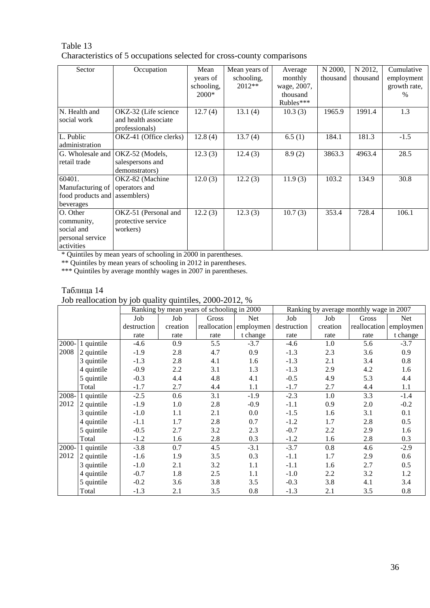## Table 13 Characteristics of 5 occupations selected for cross-county comparisons

| Sector                        | Occupation             | Mean       | Mean years of | Average     | N 2000,  | N 2012,  | Cumulative   |
|-------------------------------|------------------------|------------|---------------|-------------|----------|----------|--------------|
|                               |                        | years of   | schooling,    | monthly     | thousand | thousand | employment   |
|                               |                        | schooling, | 2012**        | wage, 2007, |          |          | growth rate, |
|                               |                        | 2000*      |               | thousand    |          |          | $\%$         |
|                               |                        |            |               | Rubles***   |          |          |              |
| N. Health and                 | OKZ-32 (Life science   | 12.7(4)    | 13.1(4)       | 10.3(3)     | 1965.9   | 1991.4   | 1.3          |
| social work                   | and health associate   |            |               |             |          |          |              |
|                               | professionals)         |            |               |             |          |          |              |
| L. Public                     | OKZ-41 (Office clerks) | 12.8(4)    | 13.7(4)       | 6.5(1)      | 184.1    | 181.3    | $-1.5$       |
| administration                |                        |            |               |             |          |          |              |
| G. Wholesale and              | OKZ-52 (Models,        | 12.3(3)    | 12.4(3)       | 8.9(2)      | 3863.3   | 4963.4   | 28.5         |
| retail trade                  | salespersons and       |            |               |             |          |          |              |
|                               | demonstrators)         |            |               |             |          |          |              |
| 60401.                        | OKZ-82 (Machine        | 12.0(3)    | 12.2(3)       | 11.9(3)     | 103.2    | 134.9    | 30.8         |
| Manufacturing of              | operators and          |            |               |             |          |          |              |
| food products and assemblers) |                        |            |               |             |          |          |              |
| beverages                     |                        |            |               |             |          |          |              |
| O. Other                      | OKZ-51 (Personal and   | 12.2(3)    | 12.3(3)       | 10.7(3)     | 353.4    | 728.4    | 106.1        |
| community,                    | protective service     |            |               |             |          |          |              |
| social and                    | workers)               |            |               |             |          |          |              |
| personal service              |                        |            |               |             |          |          |              |
| activities                    |                        |            |               |             |          |          |              |

\* Quintiles by mean years of schooling in 2000 in parentheses.

\*\* Quintiles by mean years of schooling in 2012 in parentheses.

\*\*\* Quintiles by average monthly wages in 2007 in parentheses.

## Таблица 14

Job reallocation by job quality quintiles, 2000-2012, %

|          |            | Ranking by mean years of schooling in 2000 |          |              | Ranking by average monthly wage in 2007 |             |          |              |            |
|----------|------------|--------------------------------------------|----------|--------------|-----------------------------------------|-------------|----------|--------------|------------|
|          |            | Job                                        | Job      | Gross        | Net                                     | Job         | Job      | Gross        | <b>Net</b> |
|          |            | destruction                                | creation | reallocation | employmen                               | destruction | creation | reallocation | employmen  |
|          |            | rate                                       | rate     | rate         | t change                                | rate        | rate     | rate         | t change   |
| $2000 -$ | 1 quintile | $-4.6$                                     | 0.9      | 5.5          | $-3.7$                                  | $-4.6$      | 1.0      | 5.6          | $-3.7$     |
| 2008     | 2 quintile | $-1.9$                                     | 2.8      | 4.7          | 0.9                                     | $-1.3$      | 2.3      | 3.6          | 0.9        |
|          | 3 quintile | $-1.3$                                     | 2.8      | 4.1          | 1.6                                     | $-1.3$      | 2.1      | 3.4          | 0.8        |
|          | 4 quintile | $-0.9$                                     | 2.2      | 3.1          | 1.3                                     | $-1.3$      | 2.9      | 4.2          | 1.6        |
|          | 5 quintile | $-0.3$                                     | 4.4      | 4.8          | 4.1                                     | $-0.5$      | 4.9      | 5.3          | 4.4        |
|          | Total      | $-1.7$                                     | 2.7      | 4.4          | 1.1                                     | $-1.7$      | 2.7      | 4.4          | 1.1        |
| 2008-    | 1 quintile | $-2.5$                                     | 0.6      | 3.1          | $-1.9$                                  | $-2.3$      | 1.0      | 3.3          | $-1.4$     |
| 2012     | 2 quintile | $-1.9$                                     | 1.0      | 2.8          | $-0.9$                                  | $-1.1$      | 0.9      | 2.0          | $-0.2$     |
|          | 3 quintile | $-1.0$                                     | 1.1      | 2.1          | 0.0                                     | $-1.5$      | 1.6      | 3.1          | 0.1        |
|          | 4 quintile | $-1.1$                                     | 1.7      | 2.8          | 0.7                                     | $-1.2$      | 1.7      | 2.8          | 0.5        |
|          | 5 quintile | $-0.5$                                     | 2.7      | 3.2          | 2.3                                     | $-0.7$      | 2.2      | 2.9          | 1.6        |
|          | Total      | $-1.2$                                     | 1.6      | 2.8          | 0.3                                     | $-1.2$      | 1.6      | 2.8          | 0.3        |
| 2000-    | 1 quintile | $-3.8$                                     | 0.7      | 4.5          | $-3.1$                                  | $-3.7$      | 0.8      | 4.6          | $-2.9$     |
| 2012     | 2 quintile | $-1.6$                                     | 1.9      | 3.5          | 0.3                                     | $-1.1$      | 1.7      | 2.9          | 0.6        |
|          | 3 quintile | $-1.0$                                     | 2.1      | 3.2          | 1.1                                     | $-1.1$      | 1.6      | 2.7          | 0.5        |
|          | 4 quintile | $-0.7$                                     | 1.8      | 2.5          | 1.1                                     | $-1.0$      | 2.2      | 3.2          | 1.2        |
|          | 5 quintile | $-0.2$                                     | 3.6      | 3.8          | 3.5                                     | $-0.3$      | 3.8      | 4.1          | 3.4        |
|          | Total      | $-1.3$                                     | 2.1      | 3.5          | 0.8                                     | $-1.3$      | 2.1      | 3.5          | 0.8        |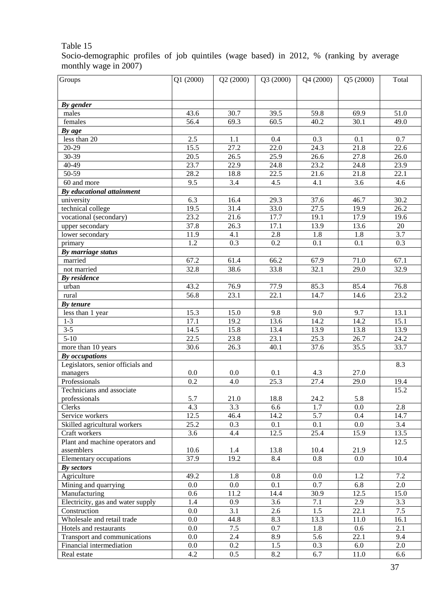Socio-demographic profiles of job quintiles (wage based) in 2012, % (ranking by average monthly wage in 2007)

| Groups                                        | Q1(2000)          | Q2(2000)          | Q3 (2000)         | Q4 (2000)         | Q5 (2000)      | Total             |
|-----------------------------------------------|-------------------|-------------------|-------------------|-------------------|----------------|-------------------|
|                                               |                   |                   |                   |                   |                |                   |
|                                               |                   |                   |                   |                   |                |                   |
| By gender                                     |                   |                   |                   |                   |                |                   |
| males                                         | 43.6              | 30.7              | 39.5              | 59.8              | 69.9           | 51.0              |
| females                                       | 56.4              | 69.3              | 60.5              | 40.2              | 30.1           | 49.0              |
| By age                                        |                   |                   |                   |                   |                |                   |
| less than $20$                                | 2.5               | 1.1               | 0.4               | 0.3               | 0.1            | 0.7               |
| $20-29$                                       | 15.5              | 27.2              | $\overline{22.0}$ | $\overline{24.3}$ | 21.8           | 22.6              |
| $30-39$                                       | $\overline{20.5}$ | $\overline{26.5}$ | 25.9              | 26.6              | 27.8           | 26.0              |
| $40-49$                                       | 23.7              | 22.9              | 24.8              | $\overline{23.2}$ | 24.8           | 23.9              |
| $50-59$                                       | 28.2              | 18.8              | 22.5              | 21.6              | 21.8           | 22.1              |
| 60 and more                                   | 9.5               | 3.4               | 4.5               | 4.1               | 3.6            | 4.6               |
| By educational attainment                     |                   |                   |                   |                   |                |                   |
| university                                    | 6.3               | 16.4              | 29.3              | 37.6              | 46.7           | 30.2              |
| technical college                             | 19.5              | 31.4              | 33.0              | 27.5              | 19.9           | $\overline{26.2}$ |
| vocational (secondary)                        | $\overline{23.2}$ | 21.6              | 17.7              | 19.1              | 17.9           | 19.6              |
| upper secondary                               | 37.8              | 26.3              | 17.1              | 13.9              | 13.6           | 20                |
| lower secondary                               | 11.9              | 4.1               | 2.8               | 1.8               | 1.8            | 3.7               |
| primary                                       | 1.2               | 0.3               | $\overline{0.2}$  | 0.1               | 0.1            | 0.3               |
| By marriage status                            |                   |                   |                   |                   |                |                   |
| married                                       | 67.2              | 61.4              | 66.2              | 67.9              | 71.0           | 67.1              |
| not married                                   | 32.8              | 38.6              | 33.8              | 32.1              | 29.0           | 32.9              |
| By residence                                  |                   |                   |                   |                   |                |                   |
| urban                                         | 43.2              | 76.9              | 77.9              | 85.3              | 85.4           | 76.8              |
| rural                                         | $\frac{1}{56.8}$  | 23.1              | $\overline{22.1}$ | 14.7              | 14.6           | 23.2              |
| By tenure                                     |                   |                   |                   |                   |                |                   |
| less than 1 year                              | 15.3              | 15.0              | 9.8               | 9.0               | 9.7            | 13.1              |
| $1-3$                                         | 17.1              | 19.2              | 13.6              | 14.2              | 14.2           | 15.1              |
| $3 - 5$                                       | 14.5              | 15.8              | 13.4              | 13.9              | 13.8           | 13.9              |
| $5 - 10$                                      | 22.5              | 23.8              | 23.1              | 25.3              | 26.7           | 24.2              |
| more than 10 years                            | 30.6              | 26.3              | 40.1              | 37.6              | 35.5           | 33.7              |
| By occupations                                |                   |                   |                   |                   |                |                   |
| Legislators, senior officials and             |                   |                   |                   |                   |                | 8.3               |
| managers                                      | 0.0               | 0.0               | 0.1               | 4.3               | 27.0           |                   |
| Professionals                                 | $\overline{0.2}$  | 4.0               | 25.3              | 27.4              | 29.0           | 19.4              |
| Technicians and associate                     |                   |                   |                   |                   |                | 15.2              |
| professionals                                 | 5.7               | 21.0              | 18.8              | 24.2              | 5.8            |                   |
| Clerks<br>Service workers                     | 4.3<br>12.5       | 3.3               | 6.6               | 1.7               | 0.0            | 2.8               |
| Skilled agricultural workers                  | 25.2              | 46.4              | 14.2<br>0.1       | 5.7               | 0.4<br>$0.0\,$ | 14.7              |
| Craft workers                                 | 3.6               | 0.3               | 12.5              | 0.1<br>25.4       | 15.9           | 3.4<br>13.5       |
|                                               |                   | 4.4               |                   |                   |                |                   |
| Plant and machine operators and<br>assemblers | 10.6              | 1.4               | 13.8              | 10.4              | 21.9           | 12.5              |
| Elementary occupations                        | 37.9              | 19.2              | 8.4               | 0.8               | 0.0            | 10.4              |
| By sectors                                    |                   |                   |                   |                   |                |                   |
| Agriculture                                   | 49.2              | 1.8               | 0.8               | $0.0\,$           | 1.2            | 7.2               |
| Mining and quarrying                          | $0.0\,$           | $0.0\,$           | 0.1               | 0.7               | 6.8            | 2.0               |
| Manufacturing                                 | 0.6               | 11.2              | 14.4              | 30.9              | 12.5           | 15.0              |
| Electricity, gas and water supply             | 1.4               | 0.9               | 3.6               | 7.1               | 2.9            | 3.3               |
| Construction                                  | 0.0               | 3.1               | 2.6               | 1.5               | 22.1           | 7.5               |
| Wholesale and retail trade                    | 0.0               | 44.8              | 8.3               | 13.3              | 11.0           | 16.1              |
| Hotels and restaurants                        | 0.0               | 7.5               | 0.7               | 1.8               | 0.6            | 2.1               |
| Transport and communications                  | 0.0               | 2.4               | 8.9               | 5.6               | 22.1           | 9.4               |
| Financial intermediation                      | $0.0\,$           | $0.2\,$           | 1.5               | 0.3               | 6.0            | 2.0               |
| Real estate                                   | 4.2               | 0.5               | 8.2               | 6.7               | 11.0           | 6.6               |
|                                               |                   |                   |                   |                   |                |                   |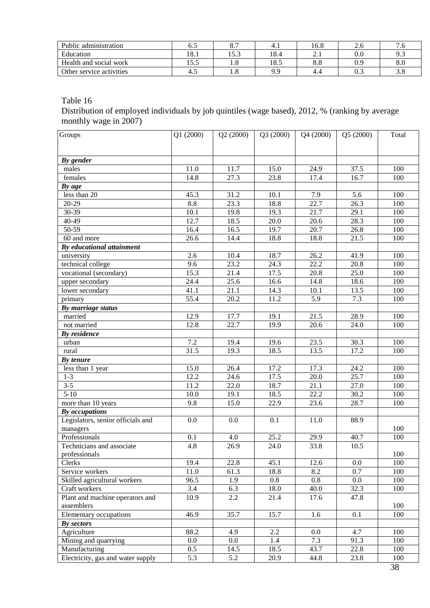| Public administration    | ບ.ວ          | $\Omega$ $\tau$<br>ο., | 4.1  | 16.8             | ∠.∪     |                                 |
|--------------------------|--------------|------------------------|------|------------------|---------|---------------------------------|
| Education                | 10.1         | 52<br>19.J             | 18.4 | $\overline{a}$ . | $0.0\,$ | 9.3                             |
| Health and social work   | ن د ر        | 1.0                    | 18.5 | o.c              | ገ ዐ     | 8.0                             |
| Other service activities | $+$ . $\sim$ | 1.0                    | QQ   | 4.4              | ∪.∟     | $\sim$ $\epsilon$<br><b>J.O</b> |

Distribution of employed individuals by job quintiles (wage based), 2012, % (ranking by average monthly wage in 2007)

| Groups                            | Q1 (2000)        | Q2(2000)          | Q3 (2000) | Q4 (2000)         | Q5 (2000) | Total |
|-----------------------------------|------------------|-------------------|-----------|-------------------|-----------|-------|
|                                   |                  |                   |           |                   |           |       |
|                                   |                  |                   |           |                   |           |       |
| By gender                         |                  |                   |           |                   |           |       |
| males                             | 11.0             | 11.7              | 15.0      | 24.9              | 37.5      | 100   |
| females                           | 14.8             | 27.3              | 23.8      | 17.4              | 16.7      | 100   |
| By age                            |                  |                   |           |                   |           |       |
| less than 20                      | 45.3             | 31.2              | 10.1      | 7.9               | 5.6       | 100   |
| 20-29                             | 8.8              | 23.3              | 18.8      | 22.7              | 26.3      | 100   |
| 30-39                             | 10.1             | 19.8              | 19.3      | 21.7              | 29.1      | 100   |
| 40-49                             | 12.7             | 18.5              | 20.0      | 20.6              | 28.3      | 100   |
| 50-59                             | 16.4             | 16.5              | 19.7      | 20.7              | 26.8      | 100   |
| 60 and more                       | 26.6             | 14.4              | 18.8      | 18.8              | 21.5      | 100   |
| By educational attainment         |                  |                   |           |                   |           |       |
| university                        | 2.6              | 10.4              | 18.7      | 26.2              | 41.9      | 100   |
| technical college                 | 9.6              | $\overline{23.2}$ | 24.3      | 22.2              | 20.8      | 100   |
| vocational (secondary)            | 15.3             | 21.4              | 17.5      | $\overline{20.8}$ | 25.0      | 100   |
| upper secondary                   | 24.4             | 25.6              | 16.6      | 14.8              | 18.6      | 100   |
| lower secondary                   | 41.1             | $\overline{21.1}$ | 14.3      | 10.1              | 13.5      | 100   |
| primary                           | 55.4             | 20.2              | 11.2      | 5.9               | 7.3       | 100   |
| By marriage status                |                  |                   |           |                   |           |       |
| married                           | 12.9             | 17.7              | 19.1      | 21.5              | 28.9      | 100   |
| not married                       | 12.8             | 22.7              | 19.9      | 20.6              | 24.0      | 100   |
| <b>By</b> residence               |                  |                   |           |                   |           |       |
| urban                             | 7.2              | 19.4              | 19.6      | 23.5              | 30.3      | 100   |
| rural                             | 31.5             | 19.3              | 18.5      | 13.5              | 17.2      | 100   |
| By tenure                         |                  |                   |           |                   |           |       |
| less than 1 year                  | 15.0             | 26.4              | 17.2      | 17.3              | 24.2      | 100   |
| $1 - 3$                           | 12.2             | 24.6              | 17.5      | $\overline{20.0}$ | 25.7      | 100   |
| $3 - 5$                           | 11.2             | 22.0              | 18.7      | 21.1              | 27.0      | 100   |
| $5 - 10$                          | 10.0             | 19.1              | 18.5      | $\overline{22.2}$ | 30.2      | 100   |
| more than 10 years                | $\overline{9.8}$ | 15.0              | 22.9      | 23.6              | 28.7      | 100   |
| <b>By occupations</b>             |                  |                   |           |                   |           |       |
| Legislators, senior officials and | 0.0              | 0.0               | 0.1       | 11.0              | 88.9      |       |
| managers                          |                  |                   |           |                   |           | 100   |
| Professionals                     | 0.1              | 4.0               | 25.2      | 29.9              | 40.7      | 100   |
| Technicians and associate         | 4.8              | 26.9              | 24.0      | 33.8              | 10.5      |       |
| professionals                     |                  |                   |           |                   |           | 100   |
| Clerks                            | 19.4             | 22.8              | 45.1      | 12.6              | 0.0       | 100   |
| Service workers                   | 11.0             | 61.3              | 18.8      | 8.2               | 0.7       | 100   |
| Skilled agricultural workers      | 96.5             | 1.9               | 0.8       | 0.8               | 0.0       | 100   |
| Craft workers                     | 3.4              | 6.3               | 18.0      | 40.0              | 32.3      | 100   |
| Plant and machine operators and   | 10.9             | 2.2               | 21.4      | 17.6              | 47.8      |       |
| assemblers                        |                  |                   |           |                   |           | 100   |
| Elementary occupations            | 46.9             | 35.7              | 15.7      | 1.6               | 0.1       | 100   |
| By sectors                        |                  |                   |           |                   |           |       |
| Agriculture                       | 88.2             | 4.9               | 2.2       | 0.0               | 4.7       | 100   |
| Mining and quarrying              | $0.0\,$          | 0.0               | 1.4       | 7.3               | 91.3      | 100   |
| Manufacturing                     | 0.5              | 14.5              | 18.5      | 43.7              | 22.8      | 100   |
| Electricity, gas and water supply | 5.3              | 5.2               | 20.9      | 44.8              | 23.8      | 100   |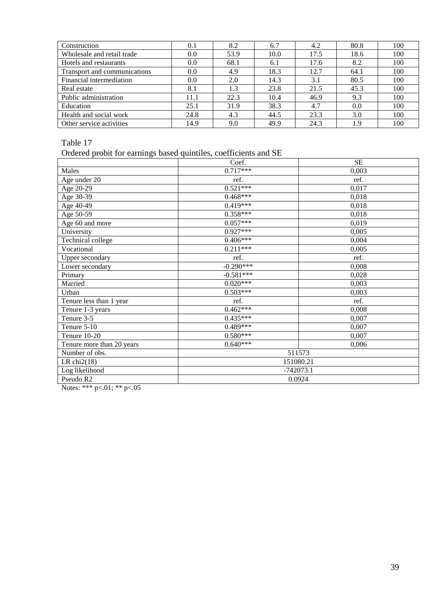| Construction                 | 0.1  | 8.2  | 6.7  | 4.2  | 80.8 | 100 |
|------------------------------|------|------|------|------|------|-----|
| Wholesale and retail trade   | 0.0  | 53.9 | 10.0 | 17.5 | 18.6 | 100 |
| Hotels and restaurants       | 0.0  | 68.1 | 6.1  | 17.6 | 8.2  | 100 |
| Transport and communications | 0.0  | 4.9  | 18.3 | 12.7 | 64.1 | 100 |
| Financial intermediation     | 0.0  | 2.0  | 14.3 | 3.1  | 80.5 | 100 |
| Real estate                  | 8.1  | 1.3  | 23.8 | 21.5 | 45.3 | 100 |
| Public administration        | 11.1 | 22.3 | 10.4 | 46.9 | 9.3  | 100 |
| Education                    | 25.1 | 31.9 | 38.3 | 4.7  | 0.0  | 100 |
| Health and social work       | 24.8 | 4.3  | 44.5 | 23.3 | 3.0  | 100 |
| Other service activities     | 14.9 | 9.0  | 49.9 | 24.3 | 1.9  | 100 |

## Ordered probit for earnings based quintiles, coefficients and SE

|                           | Coef.       | <b>SE</b> |  |  |  |  |
|---------------------------|-------------|-----------|--|--|--|--|
| Males                     | $0.717***$  | 0,003     |  |  |  |  |
| Age under 20              | ref.        | ref.      |  |  |  |  |
| Age 20-29                 | $0.521***$  | 0,017     |  |  |  |  |
| Age 30-39                 | $0.468***$  | 0,018     |  |  |  |  |
| Age 40-49                 | $0.419***$  | 0,018     |  |  |  |  |
| Age 50-59                 | $0.358***$  | 0,018     |  |  |  |  |
| Age 60 and more           | $0.057***$  | 0,019     |  |  |  |  |
| University                | $0.927***$  | 0,005     |  |  |  |  |
| Technical college         | $0.406***$  | 0,004     |  |  |  |  |
| Vocational                | $0.211***$  | 0,005     |  |  |  |  |
| Upper secondary           | ref.        | ref.      |  |  |  |  |
| Lower secondary           | $-0.290***$ | 0,008     |  |  |  |  |
| Primary                   | $-0.581***$ | 0,028     |  |  |  |  |
| Married                   | $0.020***$  | 0,003     |  |  |  |  |
| Urban                     | $0.503***$  | 0,003     |  |  |  |  |
| Tenure less than 1 year   | ref.        | ref.      |  |  |  |  |
| Tenure 1-3 years          | $0.462***$  | 0,008     |  |  |  |  |
| Tenure 3-5                | $0.435***$  | 0,007     |  |  |  |  |
| Tenure 5-10               | $0.489***$  | 0,007     |  |  |  |  |
| Tenure 10-20              | $0.580***$  | 0,007     |  |  |  |  |
| Tenure more than 20 years | $0.640***$  | 0,006     |  |  |  |  |
| Number of obs.            | 511573      |           |  |  |  |  |
| LR $chi2(18)$             |             | 151080.21 |  |  |  |  |
| Log likelihood            | $-742073.1$ |           |  |  |  |  |
| Pseudo R2                 | 0.0924      |           |  |  |  |  |

Notes: \*\*\* p<.01; \*\* p<.05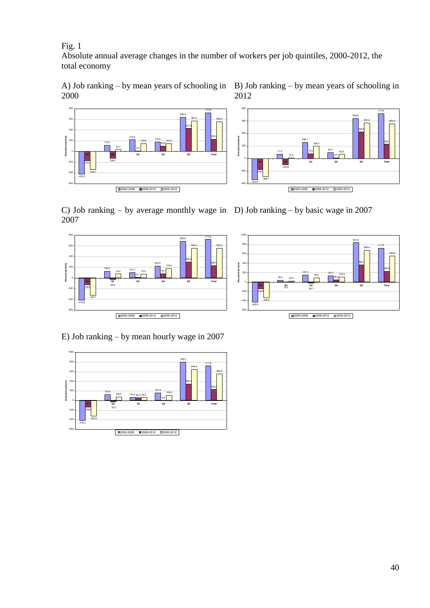Fig. 1

<sub>40</sub> 600 +  $800$  T

-422,3

-600  $-400 + -$ -200  $0$  +  $-$ 200 +

-174,4

-339,7

115,4

-126,7

 $34.7$   $\qquad$   $\qquad$ 

Absolute annual average changes in the number of workers per job quintiles, 2000-2012, the total economy

A) Job ranking – by mean years of schooling in 2000

215,6

5,5

 $\boxed{0.2000-2008}$   $\boxed{0.2008-2012}$   $\boxed{0.2000-2012}$ 



 $\boxed{\square 2000\text{-}2008\quad \blacksquare 2008\text{-}2012\quad \square 2000\text{-}2012\ ]}$ 

-102,8

B) Job ranking – by mean years of schooling in

717,8

**228,0** | |

C) Job ranking – by average monthly wage in D) Job ranking – by basic wage in 2007 2007

 $172.6$ 

 $145.6$   $147.0$   $147.0$ 

 $95,8$   $\qquad$ 



-342,6

 $-400$   $-342,0$  $-200 +$  $\circ$  +  $\circ$  +  $\circ$  +  $\circ$  +  $\circ$  +  $\circ$  +  $\circ$  +  $\circ$  +  $\circ$  +  $\circ$  +  $\circ$  +  $\circ$  +  $\circ$  +  $\circ$  +  $\circ$  +  $\circ$  +  $\circ$  +  $\circ$  +  $\circ$  +  $\circ$  +  $\circ$  +  $\circ$  +  $\circ$  +  $\circ$  +  $\circ$  +  $\circ$  +  $\circ$  +  $\circ$  +  $\circ$  +  $\circ$  +  $\circ$  +  $\circ$ 

-179,1

-288,1

683,8





E) Job ranking – by mean hourly wage in 2007

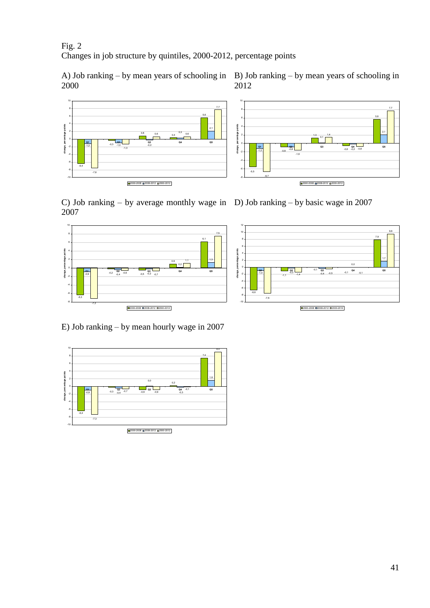Fig.  $2$ Changes in job structure by quintiles, 2000-2012, percentage points

2000







C) Job ranking – by average monthly wage in D) Job ranking – by basic wage in 2007 2007







E) Job ranking – by mean hourly wage in 2007

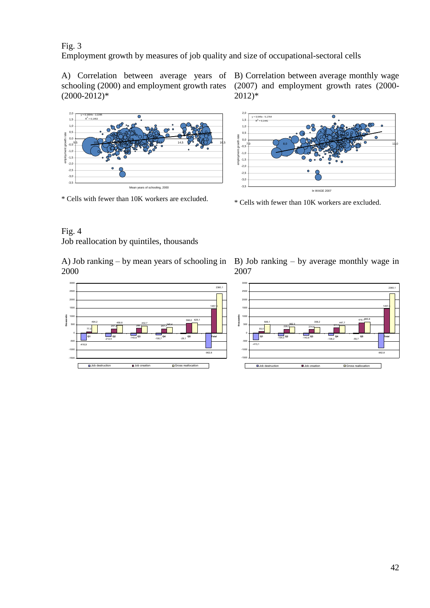## Fig. 3

Employment growth by measures of job quality and size of occupational-sectoral cells

schooling (2000) and employment growth rates  $(2000 - 2012)*$ 

2,0  $\overline{\bullet}$ y = 0,1694x - 2,2295 1,5  $R^2 = 0.1453$ 1,0  $0,5$  +  $\frac{1}{2}$ <br>  $\frac{1}{2}$ <br>  $\frac{1}{2}$ <br>  $\frac{1}{2}$ <br>  $\frac{1}{2}$ <br>  $\frac{1}{2}$ <br>  $\frac{1}{2}$ <br>  $\frac{1}{2}$ <br>  $\frac{1}{2}$ <br>  $\frac{1}{2}$ <br>  $\frac{1}{2}$ <br>  $\frac{1}{2}$ <br>  $\frac{1}{2}$ <br>  $\frac{1}{2}$ <br>  $\frac{1}{2}$ <br>  $\frac{1}{2}$ <br>  $\frac{1}{2}$ <br>  $\frac{1}{2}$ <br>  $\frac{1}{2}$ <br>  $\frac{1}{2}$ <br>  $\overline{0.0}$   $\overline{0.0}$ 9,5 **10,5 <del>10,5 12,5 1</del>2,5 14,5 12,5 12,5 12,5** 14,5 14,5 14,5 15,5 15,5 16,5 16,5 16,5 16,5 17,5 17,5 17,5 17,5 1  $-0.5$   $-1$  $-1,0$   $\longrightarrow$   $\longrightarrow$  $-1,5$   $+$  $-2,0$   $\longrightarrow$ -2,5 -3,0 -3,5

\* Cells with fewer than 10K workers are excluded.

A) Correlation between average years of B) Correlation between average monthly wage (2007) and employment growth rates (2000- 2012)\*



\* Cells with fewer than 10K workers are excluded.

## Fig. 4 Job reallocation by quintiles, thousands

A) Job ranking – by mean years of schooling in 2000



B) Job ranking – by average monthly wage in 2007

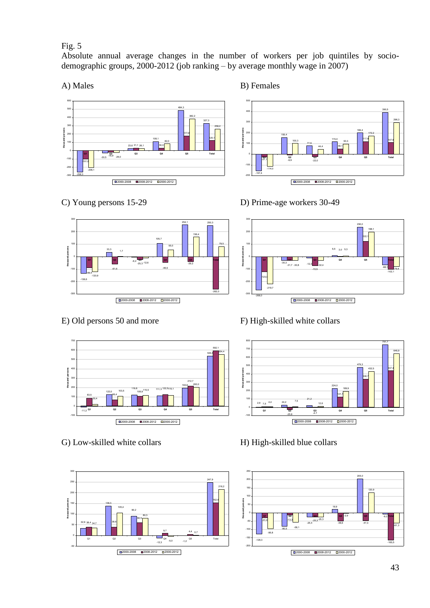## Fig. 5

Absolute annual average changes in the number of workers per job quintiles by sociodemographic groups, 2000-2012 (job ranking – by average monthly wage in 2007)



A) Males B) Females









G) Low-skilled white collars H) High-skilled blue collars



C) Young persons 15-29 D) Prime-age workers 30-49



## E) Old persons 50 and more F) High-skilled white collars



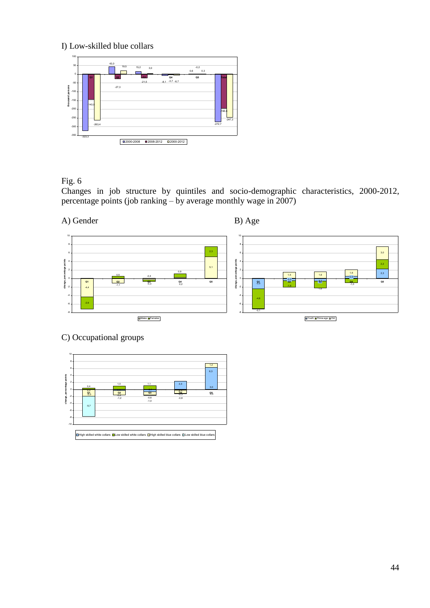## I) Low-skilled blue collars



Fig. 6

Changes in job structure by quintiles and socio-demographic characteristics, 2000-2012, percentage points (job ranking – by average monthly wage in 2007)

A) Gender B) Age



## C) Occupational groups

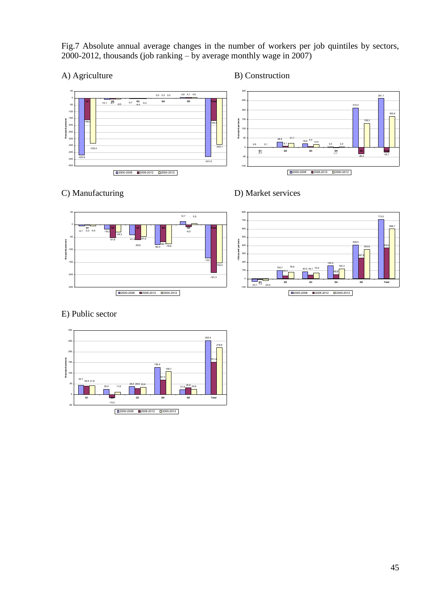Fig.7 Absolute annual average changes in the number of workers per job quintiles by sectors, 2000-2012, thousands (job ranking – by average monthly wage in 2007)

## A) Agriculture B) Construction







## E) Public sector